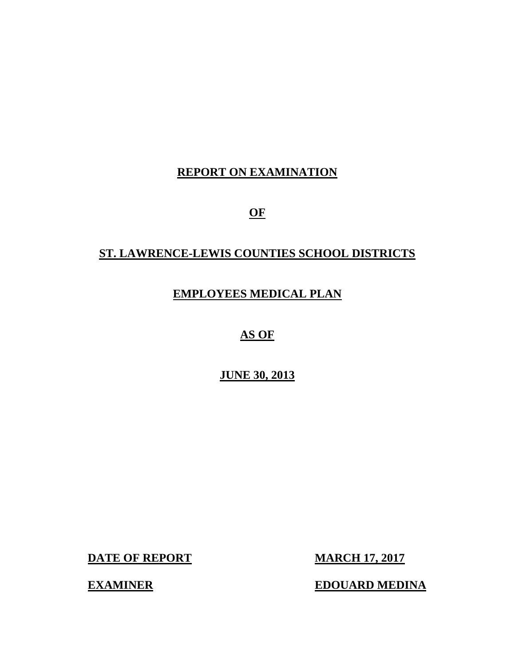# **REPORT ON EXAMINATION**

**OF** 

# **ST. LAWRENCE-LEWIS COUNTIES SCHOOL DISTRICTS**

# **EMPLOYEES MEDICAL PLAN**

**AS OF** 

**JUNE 30, 2013** 

**DATE OF REPORT MARCH 17, 2017** 

**EXAMINER EDOUARD MEDINA**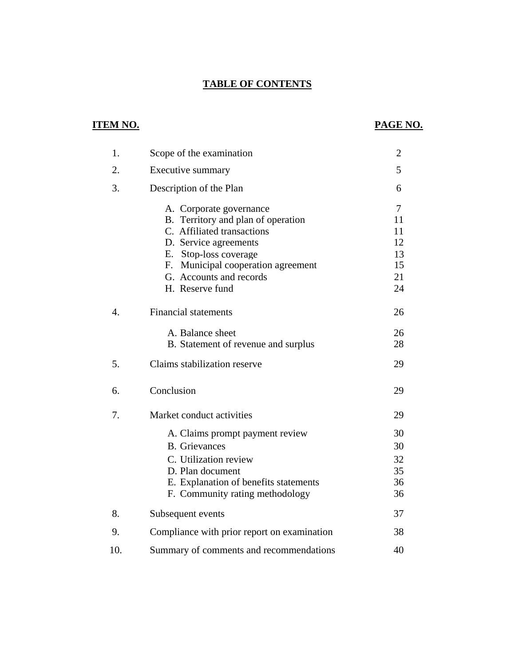## **TABLE OF CONTENTS**

# **ITEM NO. PAGE NO.**

| 1.  | Scope of the examination                    | $\overline{c}$ |
|-----|---------------------------------------------|----------------|
| 2.  | Executive summary                           | 5              |
| 3.  | Description of the Plan                     | 6              |
|     | A. Corporate governance                     | 7              |
|     | B. Territory and plan of operation          | 11             |
|     | C. Affiliated transactions                  | 11             |
|     | D. Service agreements                       | 12             |
|     | E. Stop-loss coverage                       | 13             |
|     | F. Municipal cooperation agreement          | 15             |
|     | G. Accounts and records                     | 21             |
|     | H. Reserve fund                             | 24             |
| 4.  | <b>Financial statements</b>                 | 26             |
|     | A. Balance sheet                            | 26             |
|     | B. Statement of revenue and surplus         | 28             |
| 5.  | Claims stabilization reserve                | 29             |
| 6.  | Conclusion                                  | 29             |
| 7.  | Market conduct activities                   | 29             |
|     | A. Claims prompt payment review             | 30             |
|     | <b>B.</b> Grievances                        | 30             |
|     | C. Utilization review                       | 32             |
|     | D. Plan document                            | 35             |
|     | E. Explanation of benefits statements       | 36             |
|     | F. Community rating methodology             | 36             |
| 8.  | Subsequent events                           | 37             |
| 9.  | Compliance with prior report on examination | 38             |
| 10. | Summary of comments and recommendations     | 40             |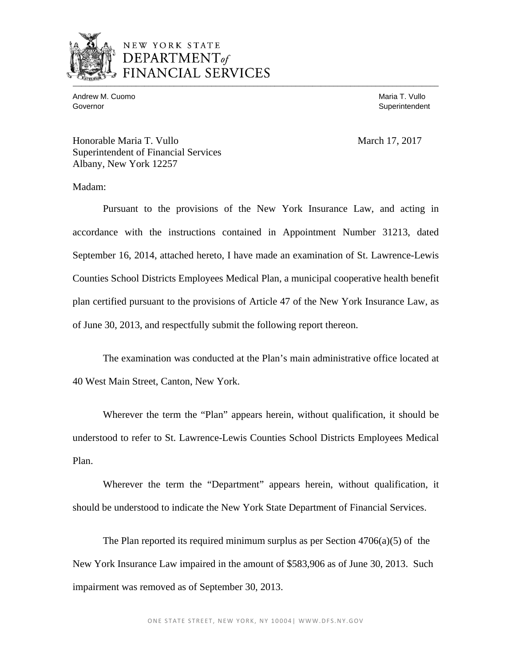

## NEW YORK STATE **EPARTMENT** of CIAL SERVICES  $\overline{\mathcal{A}}$

Andrew M. Cuomo **Maria T. Vullo** Maria T. Vullo Maria T. Vullo Maria T. Vullo Maria T. Vullo Governor Superintendent Superintendent Superintendent Superintendent Superintendent Superintendent Superintendent Superintendent Superintendent Superintendent Superintendent Superintendent Superintendent Superintendent Sup

Honorable Maria T. Vullo March 17, 2017 Superintendent of Financial Services Albany, New York 12257

Madam:

Pursuant to the provisions of the New York Insurance Law, and acting in accordance with the instructions contained in Appointment Number 31213, dated September 16, 2014, attached hereto, I have made an examination of St. Lawrence-Lewis Counties School Districts Employees Medical Plan, a municipal cooperative health benefit plan certified pursuant to the provisions of Article 47 of the New York Insurance Law, as of June 30, 2013, and respectfully submit the following report thereon.

The examination was conducted at the Plan's main administrative office located at 40 West Main Street, Canton, New York.

Wherever the term the "Plan" appears herein, without qualification, it should be understood to refer to St. Lawrence-Lewis Counties School Districts Employees Medical Plan.

Wherever the term the "Department" appears herein, without qualification, it should be understood to indicate the New York State Department of Financial Services.

The Plan reported its required minimum surplus as per Section  $4706(a)(5)$  of the New York Insurance Law impaired in the amount of \$583,906 as of June 30, 2013. Such impairment was removed as of September 30, 2013.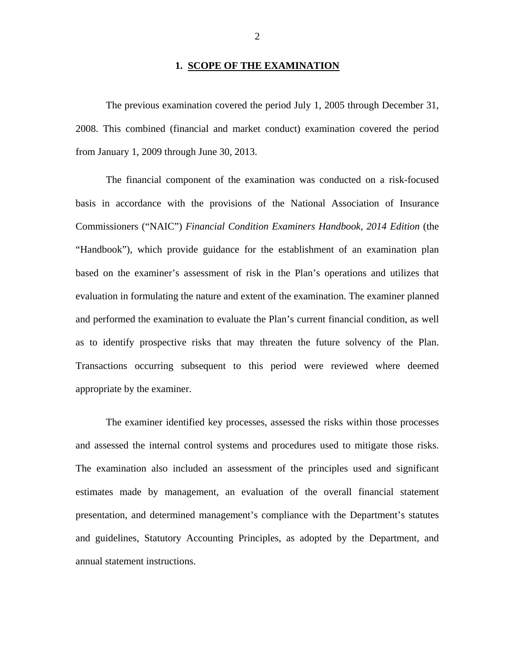#### **1. SCOPE OF THE EXAMINATION**

The previous examination covered the period July 1, 2005 through December 31, 2008. This combined (financial and market conduct) examination covered the period from January 1, 2009 through June 30, 2013.

The financial component of the examination was conducted on a risk-focused basis in accordance with the provisions of the National Association of Insurance Commissioners ("NAIC") *Financial Condition Examiners Handbook, 2014 Edition* (the "Handbook"), which provide guidance for the establishment of an examination plan based on the examiner's assessment of risk in the Plan's operations and utilizes that evaluation in formulating the nature and extent of the examination. The examiner planned and performed the examination to evaluate the Plan's current financial condition, as well as to identify prospective risks that may threaten the future solvency of the Plan. Transactions occurring subsequent to this period were reviewed where deemed appropriate by the examiner.

The examiner identified key processes, assessed the risks within those processes and assessed the internal control systems and procedures used to mitigate those risks. The examination also included an assessment of the principles used and significant estimates made by management, an evaluation of the overall financial statement presentation, and determined management's compliance with the Department's statutes and guidelines, Statutory Accounting Principles, as adopted by the Department, and annual statement instructions.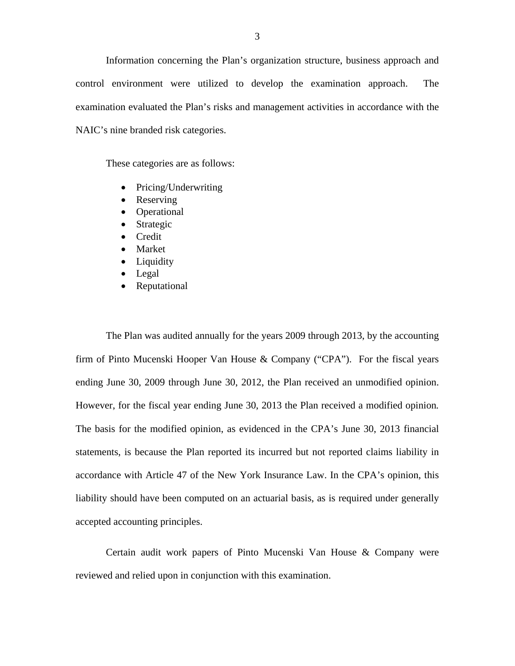Information concerning the Plan's organization structure, business approach and control environment were utilized to develop the examination approach. The examination evaluated the Plan's risks and management activities in accordance with the NAIC's nine branded risk categories.

These categories are as follows:

- Pricing/Underwriting
- Reserving
- Operational
- Strategic
- Credit
- Market
- Liquidity
- Legal
- Reputational

The Plan was audited annually for the years 2009 through 2013, by the accounting firm of Pinto Mucenski Hooper Van House & Company ("CPA"). For the fiscal years ending June 30, 2009 through June 30, 2012, the Plan received an unmodified opinion. However, for the fiscal year ending June 30, 2013 the Plan received a modified opinion*.*  The basis for the modified opinion, as evidenced in the CPA's June 30, 2013 financial statements, is because the Plan reported its incurred but not reported claims liability in accordance with Article 47 of the New York Insurance Law. In the CPA's opinion, this liability should have been computed on an actuarial basis, as is required under generally accepted accounting principles.

Certain audit work papers of Pinto Mucenski Van House & Company were reviewed and relied upon in conjunction with this examination.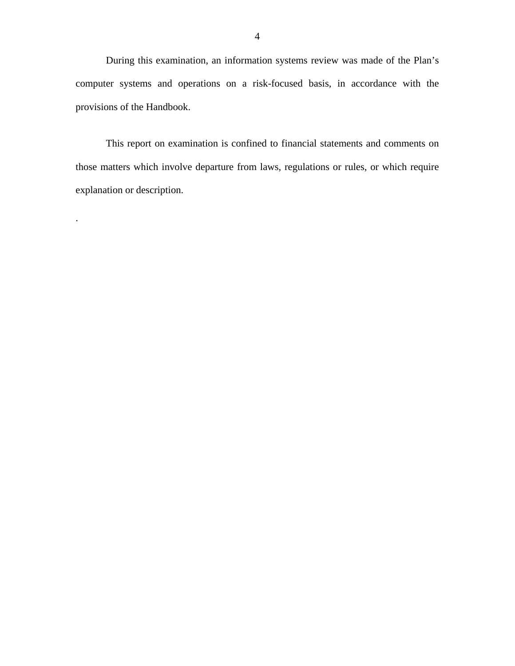During this examination, an information systems review was made of the Plan's computer systems and operations on a risk-focused basis, in accordance with the provisions of the Handbook.

This report on examination is confined to financial statements and comments on those matters which involve departure from laws, regulations or rules, or which require explanation or description.

 .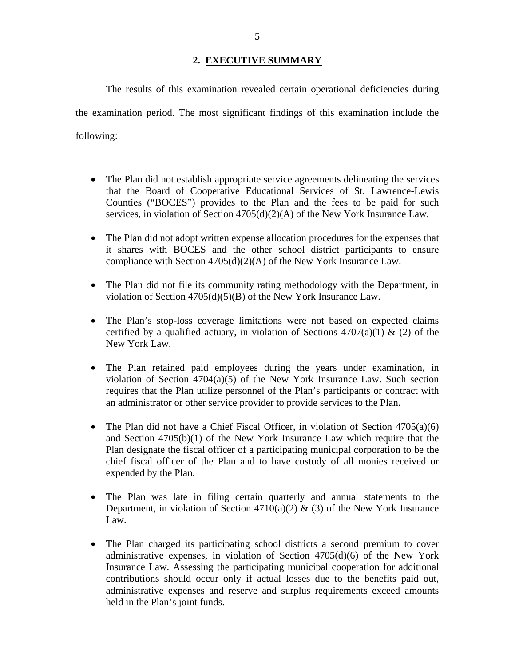### **2. EXECUTIVE SUMMARY**

<span id="page-6-0"></span> following: The results of this examination revealed certain operational deficiencies during the examination period. The most significant findings of this examination include the

- The Plan did not establish appropriate service agreements delineating the services that the Board of Cooperative Educational Services of St. Lawrence-Lewis Counties ("BOCES") provides to the Plan and the fees to be paid for such services, in violation of Section 4705(d)(2)(A) of the New York Insurance Law.
- The Plan did not adopt written expense allocation procedures for the expenses that it shares with BOCES and the other school district participants to ensure compliance with Section 4705(d)(2)(A) of the New York Insurance Law.
- The Plan did not file its community rating methodology with the Department, in violation of Section 4705(d)(5)(B) of the New York Insurance Law.
- The Plan's stop-loss coverage limitations were not based on expected claims certified by a qualified actuary, in violation of Sections  $4707(a)(1)$  & (2) of the New York Law.
- The Plan retained paid employees during the years under examination, in violation of Section 4704(a)(5) of the New York Insurance Law. Such section requires that the Plan utilize personnel of the Plan's participants or contract with an administrator or other service provider to provide services to the Plan.
- The Plan did not have a Chief Fiscal Officer, in violation of Section  $4705(a)(6)$ and Section 4705(b)(1) of the New York Insurance Law which require that the Plan designate the fiscal officer of a participating municipal corporation to be the chief fiscal officer of the Plan and to have custody of all monies received or expended by the Plan.
- The Plan was late in filing certain quarterly and annual statements to the Department, in violation of Section 4710(a)(2) & (3) of the New York Insurance Law.
- The Plan charged its participating school districts a second premium to cover administrative expenses, in violation of Section 4705(d)(6) of the New York Insurance Law. Assessing the participating municipal cooperation for additional contributions should occur only if actual losses due to the benefits paid out, administrative expenses and reserve and surplus requirements exceed amounts held in the Plan's joint funds.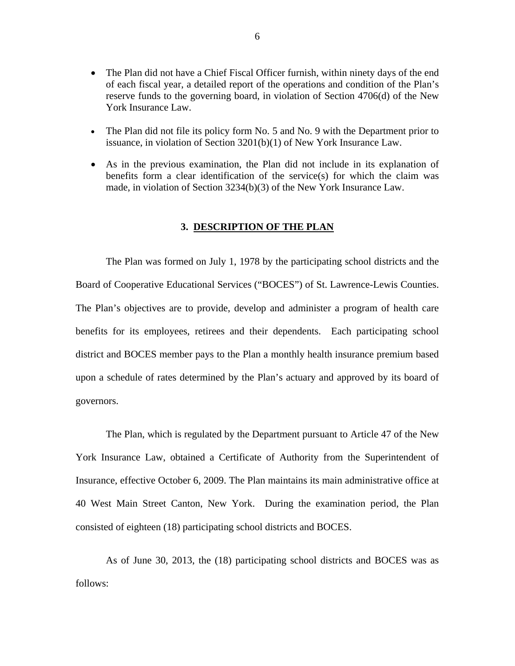- <span id="page-7-0"></span>• The Plan did not have a Chief Fiscal Officer furnish, within ninety days of the end of each fiscal year, a detailed report of the operations and condition of the Plan's reserve funds to the governing board, in violation of Section 4706(d) of the New York Insurance Law.
- The Plan did not file its policy form No. 5 and No. 9 with the Department prior to issuance, in violation of Section 3201(b)(1) of New York Insurance Law.
- As in the previous examination, the Plan did not include in its explanation of benefits form a clear identification of the service(s) for which the claim was made, in violation of Section 3234(b)(3) of the New York Insurance Law.

#### **3. DESCRIPTION OF THE PLAN**

The Plan was formed on July 1, 1978 by the participating school districts and the Board of Cooperative Educational Services ("BOCES") of St. Lawrence-Lewis Counties. The Plan's objectives are to provide, develop and administer a program of health care benefits for its employees, retirees and their dependents. Each participating school district and BOCES member pays to the Plan a monthly health insurance premium based upon a schedule of rates determined by the Plan's actuary and approved by its board of governors.

The Plan, which is regulated by the Department pursuant to Article 47 of the New York Insurance Law, obtained a Certificate of Authority from the Superintendent of Insurance, effective October 6, 2009. The Plan maintains its main administrative office at 40 West Main Street Canton, New York. During the examination period, the Plan consisted of eighteen (18) participating school districts and BOCES.

As of June 30, 2013, the (18) participating school districts and BOCES was as follows: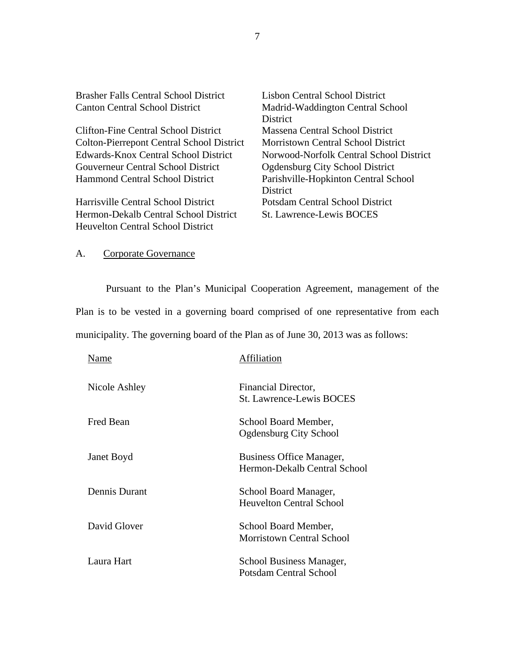| <b>Brasher Falls Central School District</b>     | Lisbon Central School District          |
|--------------------------------------------------|-----------------------------------------|
| <b>Canton Central School District</b>            | Madrid-Waddington Central School        |
|                                                  | <b>District</b>                         |
| Clifton-Fine Central School District             | Massena Central School District         |
| <b>Colton-Pierrepont Central School District</b> | Morristown Central School District      |
| Edwards-Knox Central School District             | Norwood-Norfolk Central School District |
| Gouverneur Central School District               | <b>Ogdensburg City School District</b>  |
| Hammond Central School District                  | Parishville-Hopkinton Central School    |
|                                                  | District                                |
| Harrisville Central School District              | Potsdam Central School District         |
| Hermon-Dekalb Central School District            | <b>St. Lawrence-Lewis BOCES</b>         |
| Heuvelton Central School District                |                                         |
|                                                  |                                         |

# A. Corporate Governance

Pursuant to the Plan's Municipal Cooperation Agreement, management of the Plan is to be vested in a governing board comprised of one representative from each municipality. The governing board of the Plan as of June 30, 2013 was as follows:

| Name          | Affiliation                                              |
|---------------|----------------------------------------------------------|
| Nicole Ashley | Financial Director,<br><b>St. Lawrence-Lewis BOCES</b>   |
| Fred Bean     | School Board Member,<br>Ogdensburg City School           |
| Janet Boyd    | Business Office Manager,<br>Hermon-Dekalb Central School |
| Dennis Durant | School Board Manager,<br><b>Heuvelton Central School</b> |
| David Glover  | School Board Member,<br><b>Morristown Central School</b> |
| Laura Hart    | School Business Manager,<br>Potsdam Central School       |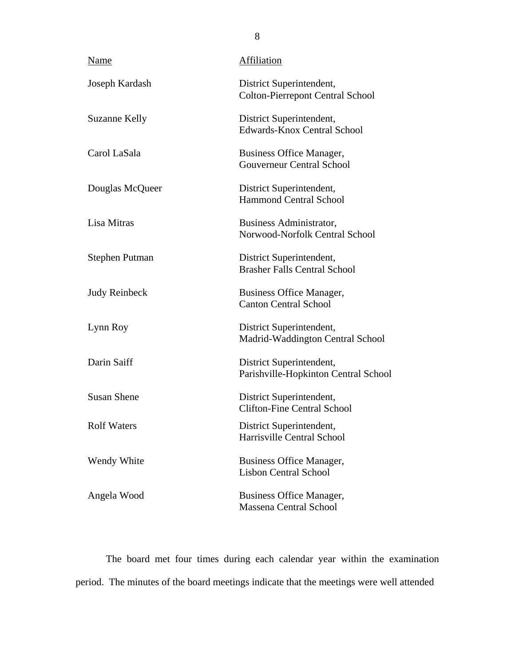| Name                 | Affiliation                                                         |  |  |  |
|----------------------|---------------------------------------------------------------------|--|--|--|
| Joseph Kardash       | District Superintendent,<br><b>Colton-Pierrepont Central School</b> |  |  |  |
| <b>Suzanne Kelly</b> | District Superintendent,<br><b>Edwards-Knox Central School</b>      |  |  |  |
| Carol LaSala         | <b>Business Office Manager,</b><br><b>Gouverneur Central School</b> |  |  |  |
| Douglas McQueer      | District Superintendent,<br><b>Hammond Central School</b>           |  |  |  |
| Lisa Mitras          | Business Administrator,<br>Norwood-Norfolk Central School           |  |  |  |
| Stephen Putman       | District Superintendent,<br><b>Brasher Falls Central School</b>     |  |  |  |
| <b>Judy Reinbeck</b> | <b>Business Office Manager,</b><br><b>Canton Central School</b>     |  |  |  |
| Lynn Roy             | District Superintendent,<br>Madrid-Waddington Central School        |  |  |  |
| Darin Saiff          | District Superintendent,<br>Parishville-Hopkinton Central School    |  |  |  |
| <b>Susan Shene</b>   | District Superintendent,<br><b>Clifton-Fine Central School</b>      |  |  |  |
| <b>Rolf Waters</b>   | District Superintendent,<br>Harrisville Central School              |  |  |  |
| Wendy White          | Business Office Manager,<br><b>Lisbon Central School</b>            |  |  |  |
| Angela Wood          | <b>Business Office Manager,</b><br><b>Massena Central School</b>    |  |  |  |

The board met four times during each calendar year within the examination period. The minutes of the board meetings indicate that the meetings were well attended

8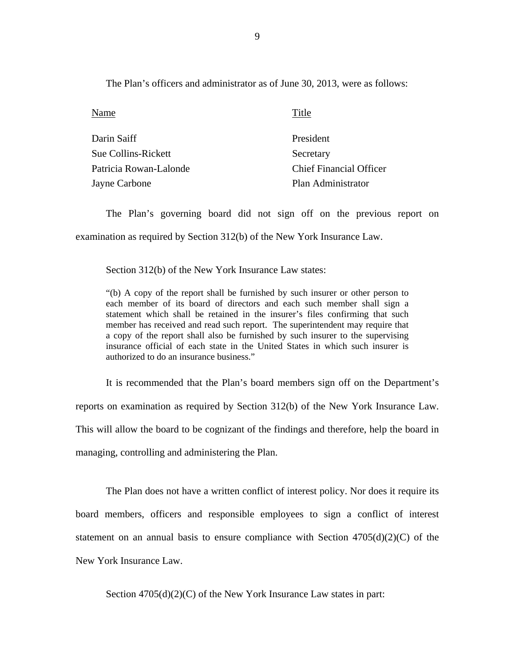The Plan's officers and administrator as of June 30, 2013, were as follows:

Name Name Title

| Darin Saiff            | President                      |
|------------------------|--------------------------------|
| Sue Collins-Rickett    | Secretary                      |
| Patricia Rowan-Lalonde | <b>Chief Financial Officer</b> |
| Jayne Carbone          | Plan Administrator             |

The Plan's governing board did not sign off on the previous report on examination as required by Section 312(b) of the New York Insurance Law.

Section 312(b) of the New York Insurance Law states:

"(b) A copy of the report shall be furnished by such insurer or other person to each member of its board of directors and each such member shall sign a statement which shall be retained in the insurer's files confirming that such member has received and read such report. The superintendent may require that a copy of the report shall also be furnished by such insurer to the supervising insurance official of each state in the United States in which such insurer is authorized to do an insurance business."

It is recommended that the Plan's board members sign off on the Department's reports on examination as required by Section 312(b) of the New York Insurance Law. This will allow the board to be cognizant of the findings and therefore, help the board in managing, controlling and administering the Plan.

The Plan does not have a written conflict of interest policy. Nor does it require its board members, officers and responsible employees to sign a conflict of interest statement on an annual basis to ensure compliance with Section  $4705(d)(2)(C)$  of the New York Insurance Law.

Section 4705(d)(2)(C) of the New York Insurance Law states in part: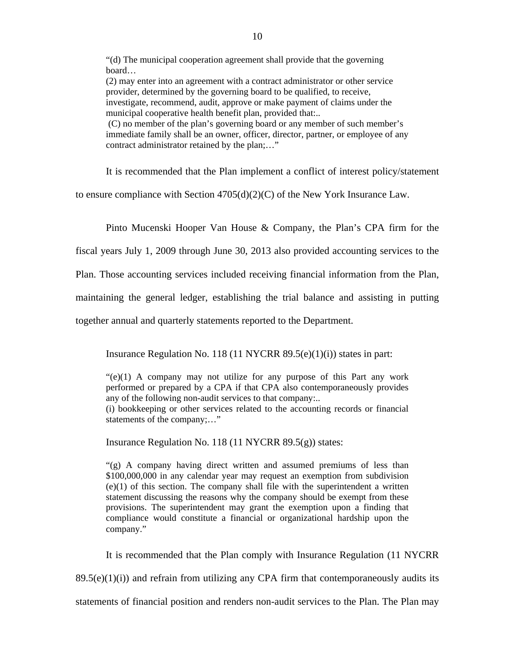"(d) The municipal cooperation agreement shall provide that the governing board…

(2) may enter into an agreement with a contract administrator or other service provider, determined by the governing board to be qualified, to receive, investigate, recommend, audit, approve or make payment of claims under the municipal cooperative health benefit plan, provided that:..

(C) no member of the plan's governing board or any member of such member's immediate family shall be an owner, officer, director, partner, or employee of any contract administrator retained by the plan;…"

It is recommended that the Plan implement a conflict of interest policy/statement

to ensure compliance with Section  $4705(d)(2)(C)$  of the New York Insurance Law.

Pinto Mucenski Hooper Van House & Company, the Plan's CPA firm for the

fiscal years July 1, 2009 through June 30, 2013 also provided accounting services to the

Plan. Those accounting services included receiving financial information from the Plan,

maintaining the general ledger, establishing the trial balance and assisting in putting

together annual and quarterly statements reported to the Department.

Insurance Regulation No. 118 (11 NYCRR 89.5(e)(1)(i)) states in part:

 $\mathcal{L}(e)(1)$  A company may not utilize for any purpose of this Part any work performed or prepared by a CPA if that CPA also contemporaneously provides any of the following non-audit services to that company:..

(i) bookkeeping or other services related to the accounting records or financial statements of the company;…"

Insurance Regulation No. 118 (11 NYCRR 89.5(g)) states:

"(g) A company having direct written and assumed premiums of less than \$100,000,000 in any calendar year may request an exemption from subdivision  $(e)(1)$  of this section. The company shall file with the superintendent a written statement discussing the reasons why the company should be exempt from these provisions. The superintendent may grant the exemption upon a finding that compliance would constitute a financial or organizational hardship upon the company."

It is recommended that the Plan comply with Insurance Regulation (11 NYCRR

 $89.5(e)(1)(i)$  and refrain from utilizing any CPA firm that contemporaneously audits its

statements of financial position and renders non-audit services to the Plan. The Plan may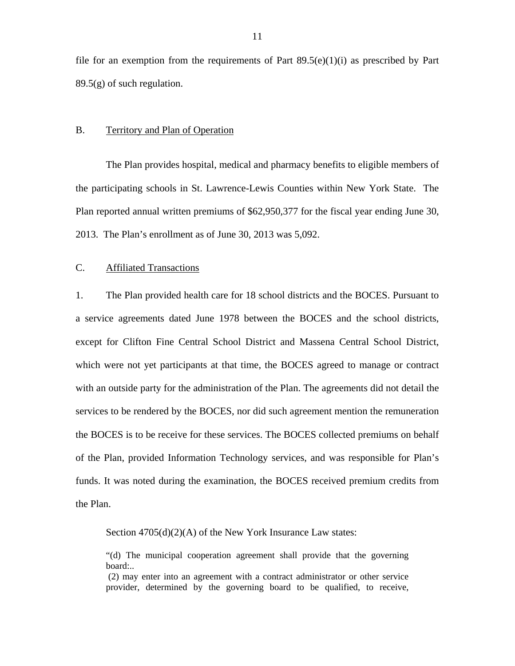<span id="page-12-0"></span>file for an exemption from the requirements of Part  $89.5(e)(1)(i)$  as prescribed by Part  $89.5(g)$  of such regulation.

#### B. Territory and Plan of Operation

The Plan provides hospital, medical and pharmacy benefits to eligible members of the participating schools in St. Lawrence-Lewis Counties within New York State. The Plan reported annual written premiums of \$62,950,377 for the fiscal year ending June 30, 2013. The Plan's enrollment as of June 30, 2013 was 5,092.

#### C. Affiliated Transactions

1. The Plan provided health care for 18 school districts and the BOCES. Pursuant to a service agreements dated June 1978 between the BOCES and the school districts, except for Clifton Fine Central School District and Massena Central School District, which were not yet participants at that time, the BOCES agreed to manage or contract with an outside party for the administration of the Plan. The agreements did not detail the services to be rendered by the BOCES, nor did such agreement mention the remuneration the BOCES is to be receive for these services. The BOCES collected premiums on behalf of the Plan, provided Information Technology services, and was responsible for Plan's funds. It was noted during the examination, the BOCES received premium credits from the Plan.

Section  $4705(d)(2)(A)$  of the New York Insurance Law states:

"(d) The municipal cooperation agreement shall provide that the governing board:..

(2) may enter into an agreement with a contract administrator or other service provider, determined by the governing board to be qualified, to receive,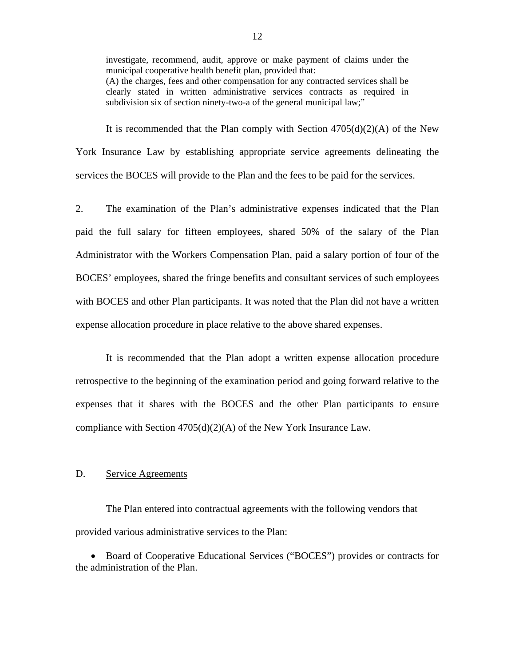<span id="page-13-0"></span>investigate, recommend, audit, approve or make payment of claims under the municipal cooperative health benefit plan, provided that: (A) the charges, fees and other compensation for any contracted services shall be clearly stated in written administrative services contracts as required in subdivision six of section ninety-two-a of the general municipal law;"

It is recommended that the Plan comply with Section  $4705(d)(2)(A)$  of the New York Insurance Law by establishing appropriate service agreements delineating the services the BOCES will provide to the Plan and the fees to be paid for the services.

2. The examination of the Plan's administrative expenses indicated that the Plan paid the full salary for fifteen employees, shared 50% of the salary of the Plan Administrator with the Workers Compensation Plan, paid a salary portion of four of the BOCES' employees, shared the fringe benefits and consultant services of such employees with BOCES and other Plan participants. It was noted that the Plan did not have a written expense allocation procedure in place relative to the above shared expenses.

It is recommended that the Plan adopt a written expense allocation procedure retrospective to the beginning of the examination period and going forward relative to the expenses that it shares with the BOCES and the other Plan participants to ensure compliance with Section 4705(d)(2)(A) of the New York Insurance Law.

#### D. Service Agreements

The Plan entered into contractual agreements with the following vendors that provided various administrative services to the Plan:

 Board of Cooperative Educational Services ("BOCES") provides or contracts for the administration of the Plan.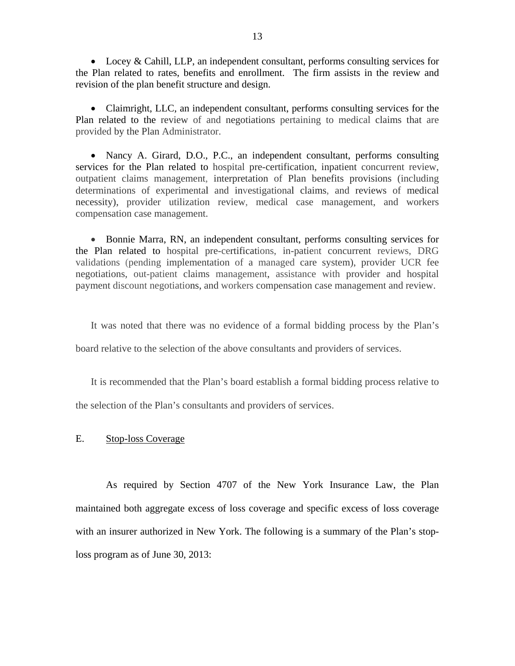<span id="page-14-0"></span> Locey & Cahill, LLP, an independent consultant, performs consulting services for the Plan related to rates, benefits and enrollment. The firm assists in the review and revision of the plan benefit structure and design.

 Claimright, LLC, an independent consultant, performs consulting services for the Plan related to the review of and negotiations pertaining to medical claims that are provided by the Plan Administrator.

 compensation case management. • Nancy A. Girard, D.O., P.C., an independent consultant, performs consulting services for the Plan related to hospital pre-certification, inpatient concurrent review, outpatient claims management, interpretation of Plan benefits provisions (including determinations of experimental and investigational claims, and reviews of medical necessity), provider utilization review, medical case management, and workers

 Bonnie Marra, RN, an independent consultant, performs consulting services for the Plan related to hospital pre-certifications, in-patient concurrent reviews, DRG validations (pending implementation of a managed care system), provider UCR fee negotiations, out-patient claims management, assistance with provider and hospital payment discount negotiations, and workers compensation case management and review.

It was noted that there was no evidence of a formal bidding process by the Plan's

board relative to the selection of the above consultants and providers of services.

It is recommended that the Plan's board establish a formal bidding process relative to the selection of the Plan's consultants and providers of services.

#### E. Stop-loss Coverage

As required by Section 4707 of the New York Insurance Law, the Plan maintained both aggregate excess of loss coverage and specific excess of loss coverage with an insurer authorized in New York. The following is a summary of the Plan's stoploss program as of June 30, 2013: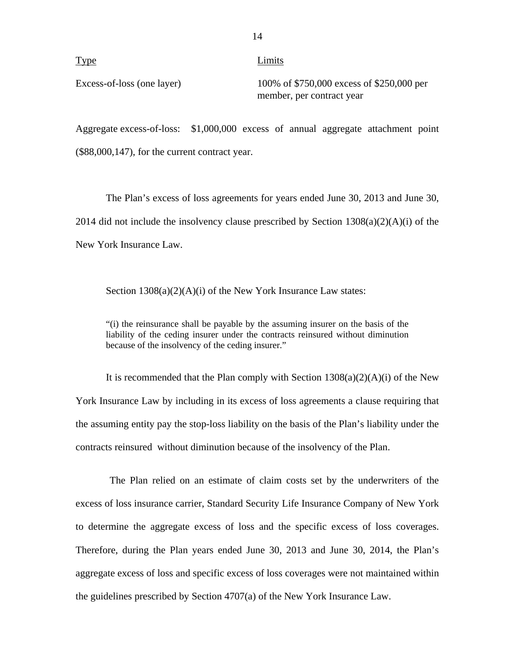Type Limits

Excess-of-loss (one layer) 100% of \$750,000 excess of \$250,000 per member, per contract year

Aggregate excess-of-loss: \$1,000,000 excess of annual aggregate attachment point (\$88,000,147), for the current contract year.

The Plan's excess of loss agreements for years ended June 30, 2013 and June 30, 2014 did not include the insolvency clause prescribed by Section  $1308(a)(2)(A)(i)$  of the New York Insurance Law.

Section  $1308(a)(2)(A)(i)$  of the New York Insurance Law states:

"(i) the reinsurance shall be payable by the assuming insurer on the basis of the liability of the ceding insurer under the contracts reinsured without diminution because of the insolvency of the ceding insurer."

It is recommended that the Plan comply with Section  $1308(a)(2)(A)(i)$  of the New York Insurance Law by including in its excess of loss agreements a clause requiring that the assuming entity pay the stop-loss liability on the basis of the Plan's liability under the contracts reinsured without diminution because of the insolvency of the Plan.

The Plan relied on an estimate of claim costs set by the underwriters of the excess of loss insurance carrier, Standard Security Life Insurance Company of New York to determine the aggregate excess of loss and the specific excess of loss coverages. Therefore, during the Plan years ended June 30, 2013 and June 30, 2014, the Plan's aggregate excess of loss and specific excess of loss coverages were not maintained within the guidelines prescribed by Section 4707(a) of the New York Insurance Law.

14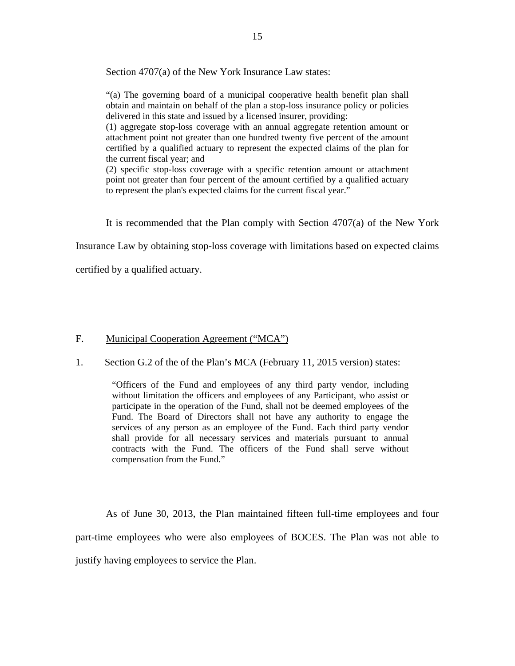<span id="page-16-0"></span>Section 4707(a) of the New York Insurance Law states:

"(a) The governing board of a municipal cooperative health benefit plan shall obtain and maintain on behalf of the plan a stop-loss insurance policy or policies delivered in this state and issued by a licensed insurer, providing:

(1) aggregate stop-loss coverage with an annual aggregate retention amount or attachment point not greater than one hundred twenty five percent of the amount certified by a qualified actuary to represent the expected claims of the plan for the current fiscal year; and

(2) specific stop-loss coverage with a specific retention amount or attachment point not greater than four percent of the amount certified by a qualified actuary to represent the plan's expected claims for the current fiscal year."

It is recommended that the Plan comply with Section 4707(a) of the New York

Insurance Law by obtaining stop-loss coverage with limitations based on expected claims

certified by a qualified actuary.

#### F. Municipal Cooperation Agreement ("MCA")

1. Section G.2 of the of the Plan's MCA (February 11, 2015 version) states:

"Officers of the Fund and employees of any third party vendor, including without limitation the officers and employees of any Participant, who assist or participate in the operation of the Fund, shall not be deemed employees of the Fund. The Board of Directors shall not have any authority to engage the services of any person as an employee of the Fund. Each third party vendor shall provide for all necessary services and materials pursuant to annual contracts with the Fund. The officers of the Fund shall serve without compensation from the Fund."

As of June 30, 2013, the Plan maintained fifteen full-time employees and four part-time employees who were also employees of BOCES. The Plan was not able to justify having employees to service the Plan.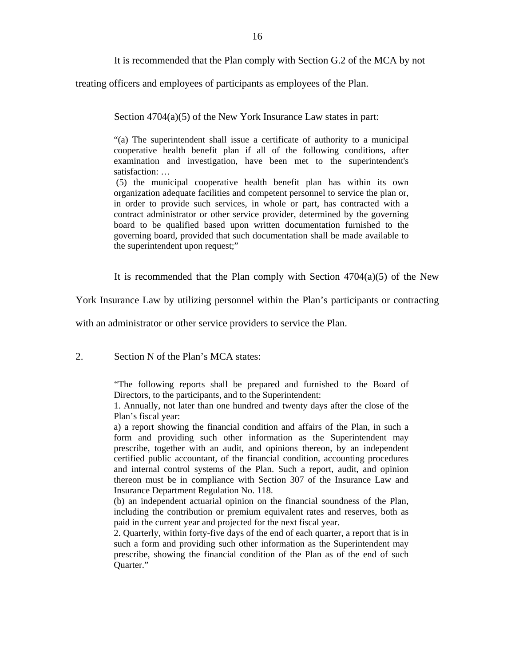It is recommended that the Plan comply with Section G.2 of the MCA by not

treating officers and employees of participants as employees of the Plan.

Section  $4704(a)(5)$  of the New York Insurance Law states in part:

"(a) The superintendent shall issue a certificate of authority to a municipal cooperative health benefit plan if all of the following conditions, after examination and investigation, have been met to the superintendent's satisfaction: …

(5) the municipal cooperative health benefit plan has within its own organization adequate facilities and competent personnel to service the plan or, in order to provide such services, in whole or part, has contracted with a contract administrator or other service provider, determined by the governing board to be qualified based upon written documentation furnished to the governing board, provided that such documentation shall be made available to the superintendent upon request;"

It is recommended that the Plan comply with Section  $4704(a)(5)$  of the New

York Insurance Law by utilizing personnel within the Plan's participants or contracting

with an administrator or other service providers to service the Plan.

2. Section N of the Plan's MCA states:

"The following reports shall be prepared and furnished to the Board of Directors, to the participants, and to the Superintendent:

1. Annually, not later than one hundred and twenty days after the close of the Plan's fiscal year:

a) a report showing the financial condition and affairs of the Plan, in such a form and providing such other information as the Superintendent may prescribe, together with an audit, and opinions thereon, by an independent certified public accountant, of the financial condition, accounting procedures and internal control systems of the Plan. Such a report, audit, and opinion thereon must be in compliance with Section 307 of the Insurance Law and Insurance Department Regulation No. 118.

(b) an independent actuarial opinion on the financial soundness of the Plan, including the contribution or premium equivalent rates and reserves, both as paid in the current year and projected for the next fiscal year.

2. Quarterly, within forty-five days of the end of each quarter, a report that is in such a form and providing such other information as the Superintendent may prescribe, showing the financial condition of the Plan as of the end of such Quarter."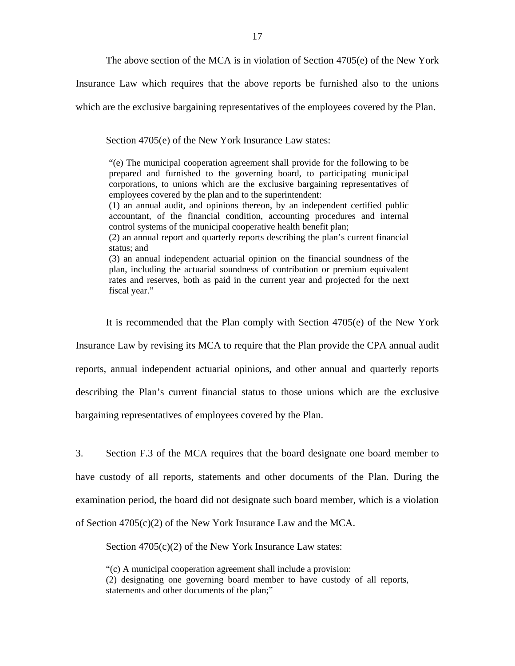The above section of the MCA is in violation of Section 4705(e) of the New York

Insurance Law which requires that the above reports be furnished also to the unions

which are the exclusive bargaining representatives of the employees covered by the Plan.

Section 4705(e) of the New York Insurance Law states:

"(e) The municipal cooperation agreement shall provide for the following to be prepared and furnished to the governing board, to participating municipal corporations, to unions which are the exclusive bargaining representatives of employees covered by the plan and to the superintendent:

(1) an annual audit, and opinions thereon, by an independent certified public accountant, of the financial condition, accounting procedures and internal control systems of the municipal cooperative health benefit plan;

(2) an annual report and quarterly reports describing the plan's current financial status; and

(3) an annual independent actuarial opinion on the financial soundness of the plan, including the actuarial soundness of contribution or premium equivalent rates and reserves, both as paid in the current year and projected for the next fiscal year."

It is recommended that the Plan comply with Section 4705(e) of the New York

Insurance Law by revising its MCA to require that the Plan provide the CPA annual audit

reports, annual independent actuarial opinions, and other annual and quarterly reports

describing the Plan's current financial status to those unions which are the exclusive

bargaining representatives of employees covered by the Plan.

3. Section F.3 of the MCA requires that the board designate one board member to have custody of all reports, statements and other documents of the Plan. During the examination period, the board did not designate such board member, which is a violation of Section 4705(c)(2) of the New York Insurance Law and the MCA.

Section 4705(c)(2) of the New York Insurance Law states:

"(c) A municipal cooperation agreement shall include a provision: (2) designating one governing board member to have custody of all reports, statements and other documents of the plan;"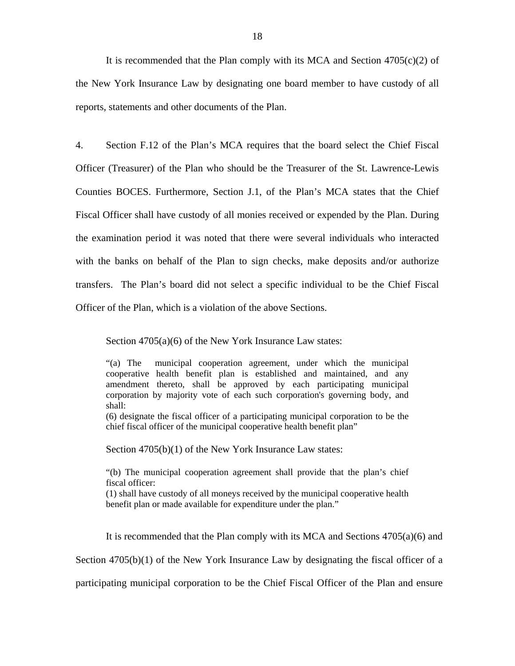It is recommended that the Plan comply with its MCA and Section  $4705(c)(2)$  of the New York Insurance Law by designating one board member to have custody of all reports, statements and other documents of the Plan.

4. Section F.12 of the Plan's MCA requires that the board select the Chief Fiscal Officer (Treasurer) of the Plan who should be the Treasurer of the St. Lawrence-Lewis Counties BOCES. Furthermore, Section J.1, of the Plan's MCA states that the Chief Fiscal Officer shall have custody of all monies received or expended by the Plan. During the examination period it was noted that there were several individuals who interacted with the banks on behalf of the Plan to sign checks, make deposits and/or authorize transfers. The Plan's board did not select a specific individual to be the Chief Fiscal Officer of the Plan, which is a violation of the above Sections.

Section 4705(a)(6) of the New York Insurance Law states:

"(a) The municipal cooperation agreement, under which the municipal cooperative health benefit plan is established and maintained, and any amendment thereto, shall be approved by each participating municipal corporation by majority vote of each such corporation's governing body, and shall:

(6) designate the fiscal officer of a participating municipal corporation to be the chief fiscal officer of the municipal cooperative health benefit plan"

Section 4705(b)(1) of the New York Insurance Law states:

"(b) The municipal cooperation agreement shall provide that the plan's chief fiscal officer:

(1) shall have custody of all moneys received by the municipal cooperative health benefit plan or made available for expenditure under the plan."

It is recommended that the Plan comply with its MCA and Sections 4705(a)(6) and

Section 4705(b)(1) of the New York Insurance Law by designating the fiscal officer of a

participating municipal corporation to be the Chief Fiscal Officer of the Plan and ensure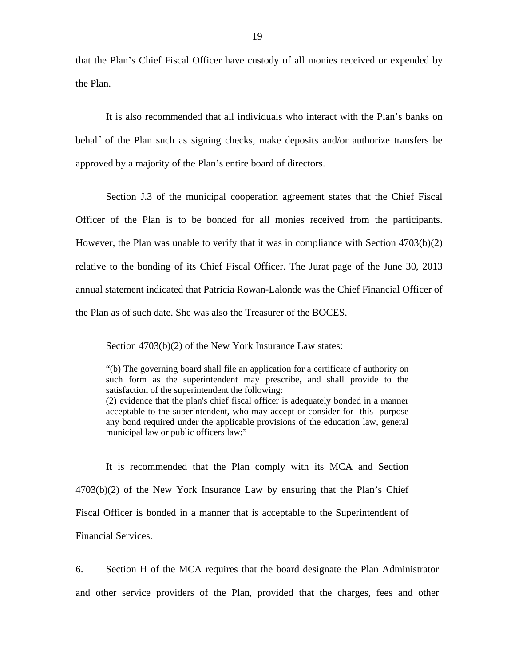that the Plan's Chief Fiscal Officer have custody of all monies received or expended by the Plan.

It is also recommended that all individuals who interact with the Plan's banks on behalf of the Plan such as signing checks, make deposits and/or authorize transfers be approved by a majority of the Plan's entire board of directors.

Section J.3 of the municipal cooperation agreement states that the Chief Fiscal Officer of the Plan is to be bonded for all monies received from the participants. However, the Plan was unable to verify that it was in compliance with Section 4703(b)(2) relative to the bonding of its Chief Fiscal Officer. The Jurat page of the June 30, 2013 annual statement indicated that Patricia Rowan-Lalonde was the Chief Financial Officer of the Plan as of such date. She was also the Treasurer of the BOCES.

Section 4703(b)(2) of the New York Insurance Law states:

acceptable to the superintendent, who may accept or consider for this purpose "(b) The governing board shall file an application for a certificate of authority on such form as the superintendent may prescribe, and shall provide to the satisfaction of the superintendent the following: (2) evidence that the plan's chief fiscal officer is adequately bonded in a manner any bond required under the applicable provisions of the education law, general municipal law or public officers law;"

It is recommended that the Plan comply with its MCA and Section 4703(b)(2) of the New York Insurance Law by ensuring that the Plan's Chief Fiscal Officer is bonded in a manner that is acceptable to the Superintendent of Financial Services.

6. Section H of the MCA requires that the board designate the Plan Administrator and other service providers of the Plan, provided that the charges, fees and other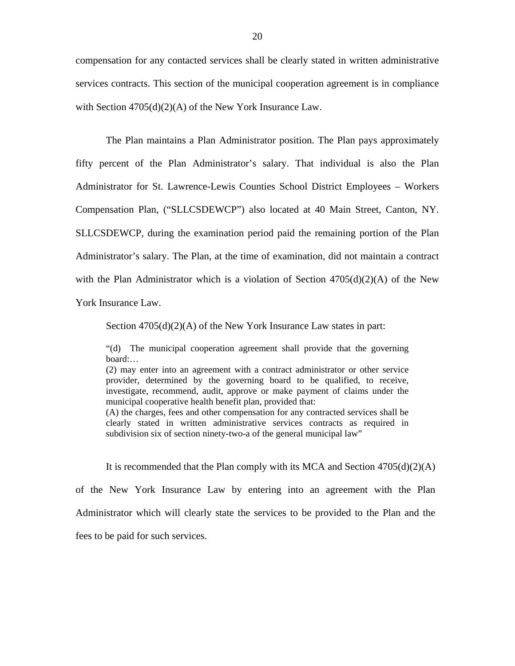compensation for any contacted services shall be clearly stated in written administrative services contracts. This section of the municipal cooperation agreement is in compliance with Section  $4705(d)(2)(A)$  of the New York Insurance Law.

The Plan maintains a Plan Administrator position. The Plan pays approximately fifty percent of the Plan Administrator's salary. That individual is also the Plan Administrator for St. Lawrence-Lewis Counties School District Employees – Workers Compensation Plan, ("SLLCSDEWCP") also located at 40 Main Street, Canton, NY. SLLCSDEWCP, during the examination period paid the remaining portion of the Plan Administrator's salary. The Plan, at the time of examination, did not maintain a contract with the Plan Administrator which is a violation of Section  $4705(d)(2)(A)$  of the New York Insurance Law.

Section  $4705(d)(2)(A)$  of the New York Insurance Law states in part:

"(d) The municipal cooperation agreement shall provide that the governing board:…

(2) may enter into an agreement with a contract administrator or other service provider, determined by the governing board to be qualified, to receive, investigate, recommend, audit, approve or make payment of claims under the municipal cooperative health benefit plan, provided that: (A) the charges, fees and other compensation for any contracted services shall be clearly stated in written administrative services contracts as required in

subdivision six of section ninety-two-a of the general municipal law"

It is recommended that the Plan comply with its MCA and Section  $4705(d)(2)(A)$ of the New York Insurance Law by entering into an agreement with the Plan Administrator which will clearly state the services to be provided to the Plan and the fees to be paid for such services.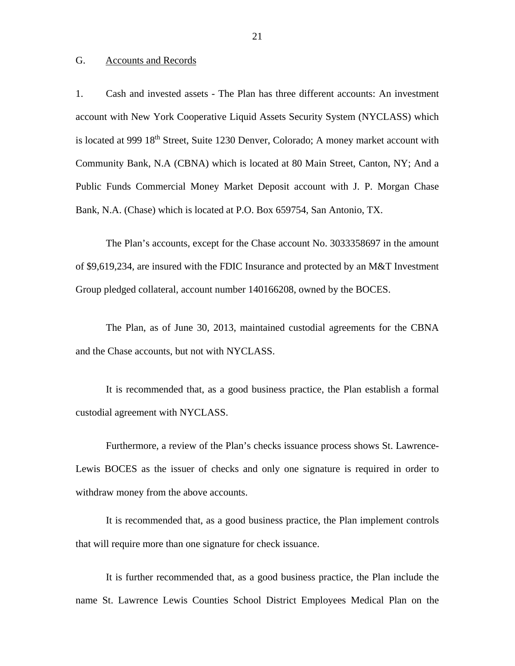#### <span id="page-22-0"></span>G. Accounts and Records

1. Cash and invested assets - The Plan has three different accounts: An investment account with New York Cooperative Liquid Assets Security System (NYCLASS) which is located at 999 18<sup>th</sup> Street, Suite 1230 Denver, Colorado; A money market account with Community Bank, N.A (CBNA) which is located at 80 Main Street, Canton, NY; And a Public Funds Commercial Money Market Deposit account with J. P. Morgan Chase Bank, N.A. (Chase) which is located at P.O. Box 659754, San Antonio, TX.

The Plan's accounts, except for the Chase account No. 3033358697 in the amount of \$9,619,234, are insured with the FDIC Insurance and protected by an M&T Investment Group pledged collateral, account number 140166208, owned by the BOCES.

The Plan, as of June 30, 2013, maintained custodial agreements for the CBNA and the Chase accounts, but not with NYCLASS.

It is recommended that, as a good business practice, the Plan establish a formal custodial agreement with NYCLASS.

Furthermore, a review of the Plan's checks issuance process shows St. Lawrence-Lewis BOCES as the issuer of checks and only one signature is required in order to withdraw money from the above accounts.

It is recommended that, as a good business practice, the Plan implement controls that will require more than one signature for check issuance.

It is further recommended that, as a good business practice, the Plan include the name St. Lawrence Lewis Counties School District Employees Medical Plan on the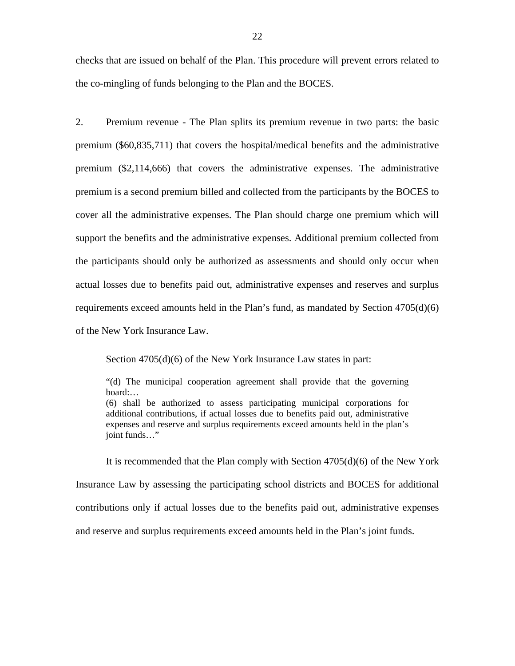checks that are issued on behalf of the Plan. This procedure will prevent errors related to the co-mingling of funds belonging to the Plan and the BOCES.

2. Premium revenue - The Plan splits its premium revenue in two parts: the basic premium (\$60,835,711) that covers the hospital/medical benefits and the administrative premium (\$2,114,666) that covers the administrative expenses. The administrative premium is a second premium billed and collected from the participants by the BOCES to cover all the administrative expenses. The Plan should charge one premium which will support the benefits and the administrative expenses. Additional premium collected from the participants should only be authorized as assessments and should only occur when actual losses due to benefits paid out, administrative expenses and reserves and surplus requirements exceed amounts held in the Plan's fund, as mandated by Section 4705(d)(6) of the New York Insurance Law.

Section 4705(d)(6) of the New York Insurance Law states in part:

"(d) The municipal cooperation agreement shall provide that the governing board:…

(6) shall be authorized to assess participating municipal corporations for additional contributions, if actual losses due to benefits paid out, administrative expenses and reserve and surplus requirements exceed amounts held in the plan's joint funds…"

It is recommended that the Plan comply with Section 4705(d)(6) of the New York Insurance Law by assessing the participating school districts and BOCES for additional contributions only if actual losses due to the benefits paid out, administrative expenses and reserve and surplus requirements exceed amounts held in the Plan's joint funds.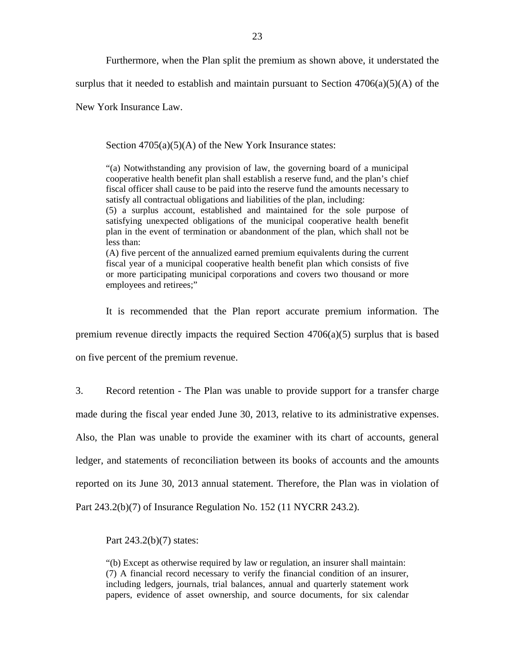Furthermore, when the Plan split the premium as shown above, it understated the

surplus that it needed to establish and maintain pursuant to Section  $4706(a)(5)(A)$  of the

New York Insurance Law.

Section 4705(a)(5)(A) of the New York Insurance states:

"(a) Notwithstanding any provision of law, the governing board of a municipal cooperative health benefit plan shall establish a reserve fund, and the plan's chief fiscal officer shall cause to be paid into the reserve fund the amounts necessary to satisfy all contractual obligations and liabilities of the plan, including:

(5) a surplus account, established and maintained for the sole purpose of satisfying unexpected obligations of the municipal cooperative health benefit plan in the event of termination or abandonment of the plan, which shall not be less than:

(A) five percent of the annualized earned premium equivalents during the current fiscal year of a municipal cooperative health benefit plan which consists of five or more participating municipal corporations and covers two thousand or more employees and retirees;"

It is recommended that the Plan report accurate premium information. The premium revenue directly impacts the required Section  $4706(a)(5)$  surplus that is based on five percent of the premium revenue.

3. Record retention - The Plan was unable to provide support for a transfer charge made during the fiscal year ended June 30, 2013, relative to its administrative expenses. Also, the Plan was unable to provide the examiner with its chart of accounts, general ledger, and statements of reconciliation between its books of accounts and the amounts reported on its June 30, 2013 annual statement. Therefore, the Plan was in violation of Part 243.2(b)(7) of Insurance Regulation No. 152 (11 NYCRR 243.2).

Part 243.2(b)(7) states:

"(b) Except as otherwise required by law or regulation, an insurer shall maintain: (7) A financial record necessary to verify the financial condition of an insurer, including ledgers, journals, trial balances, annual and quarterly statement work papers, evidence of asset ownership, and source documents, for six calendar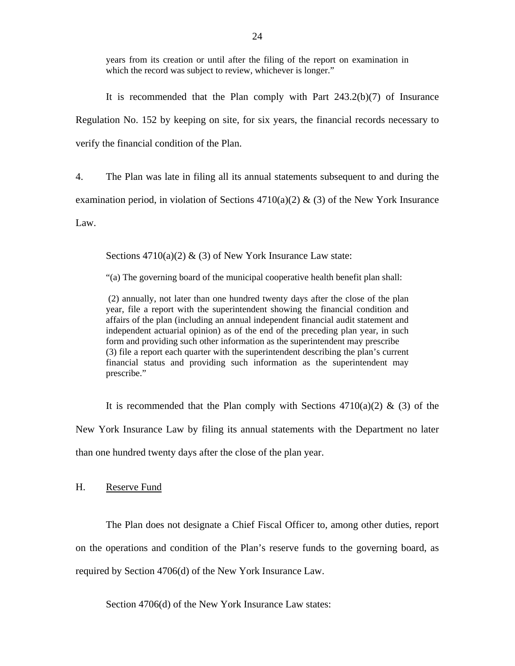<span id="page-25-0"></span>years from its creation or until after the filing of the report on examination in which the record was subject to review, whichever is longer."

It is recommended that the Plan comply with Part 243.2(b)(7) of Insurance Regulation No. 152 by keeping on site, for six years, the financial records necessary to verify the financial condition of the Plan.

4. The Plan was late in filing all its annual statements subsequent to and during the

examination period, in violation of Sections  $4710(a)(2)$  & (3) of the New York Insurance

Law.

Sections  $4710(a)(2)$  & (3) of New York Insurance Law state:

"(a) The governing board of the municipal cooperative health benefit plan shall:

(2) annually, not later than one hundred twenty days after the close of the plan year, file a report with the superintendent showing the financial condition and affairs of the plan (including an annual independent financial audit statement and independent actuarial opinion) as of the end of the preceding plan year, in such form and providing such other information as the superintendent may prescribe (3) file a report each quarter with the superintendent describing the plan's current financial status and providing such information as the superintendent may prescribe."

It is recommended that the Plan comply with Sections  $4710(a)(2)$  & (3) of the New York Insurance Law by filing its annual statements with the Department no later than one hundred twenty days after the close of the plan year.

H. Reserve Fund

The Plan does not designate a Chief Fiscal Officer to, among other duties, report on the operations and condition of the Plan's reserve funds to the governing board, as required by Section 4706(d) of the New York Insurance Law.

Section 4706(d) of the New York Insurance Law states: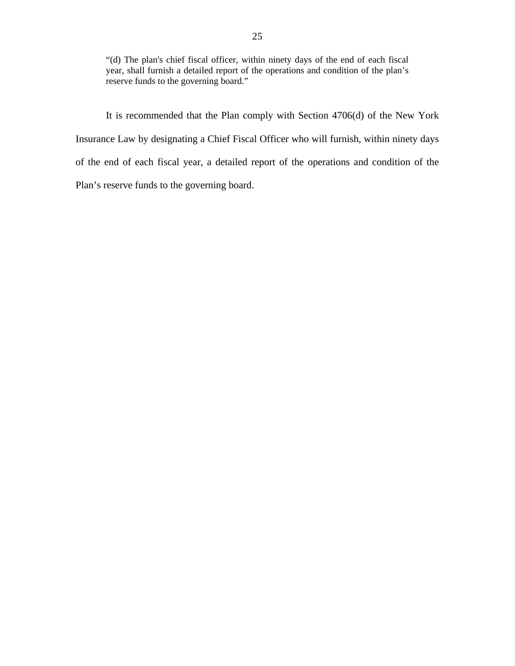"(d) The plan's chief fiscal officer, within ninety days of the end of each fiscal year, shall furnish a detailed report of the operations and condition of the plan's reserve funds to the governing board."

It is recommended that the Plan comply with Section 4706(d) of the New York Insurance Law by designating a Chief Fiscal Officer who will furnish, within ninety days of the end of each fiscal year, a detailed report of the operations and condition of the Plan's reserve funds to the governing board.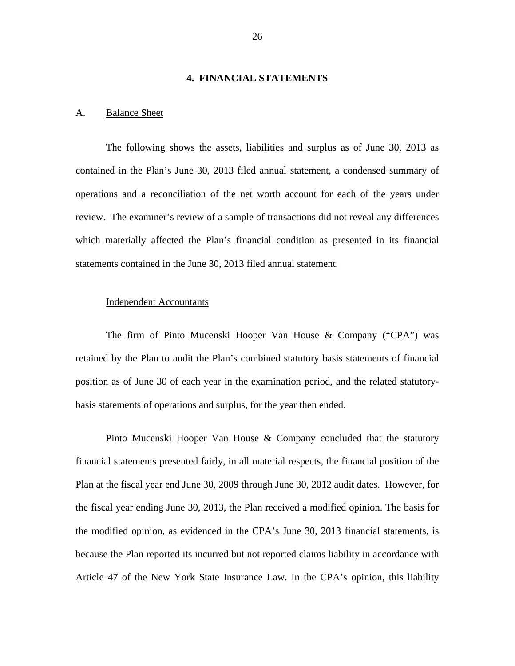#### **4. FINANCIAL STATEMENTS**

#### <span id="page-27-0"></span>A. Balance Sheet

The following shows the assets, liabilities and surplus as of June 30, 2013 as contained in the Plan's June 30, 2013 filed annual statement, a condensed summary of operations and a reconciliation of the net worth account for each of the years under review. The examiner's review of a sample of transactions did not reveal any differences which materially affected the Plan's financial condition as presented in its financial statements contained in the June 30, 2013 filed annual statement.

#### Independent Accountants

The firm of Pinto Mucenski Hooper Van House & Company ("CPA") was retained by the Plan to audit the Plan's combined statutory basis statements of financial position as of June 30 of each year in the examination period, and the related statutorybasis statements of operations and surplus, for the year then ended.

Pinto Mucenski Hooper Van House & Company concluded that the statutory financial statements presented fairly, in all material respects, the financial position of the Plan at the fiscal year end June 30, 2009 through June 30, 2012 audit dates. However, for the fiscal year ending June 30, 2013, the Plan received a modified opinion. The basis for the modified opinion, as evidenced in the CPA's June 30, 2013 financial statements, is because the Plan reported its incurred but not reported claims liability in accordance with Article 47 of the New York State Insurance Law. In the CPA's opinion, this liability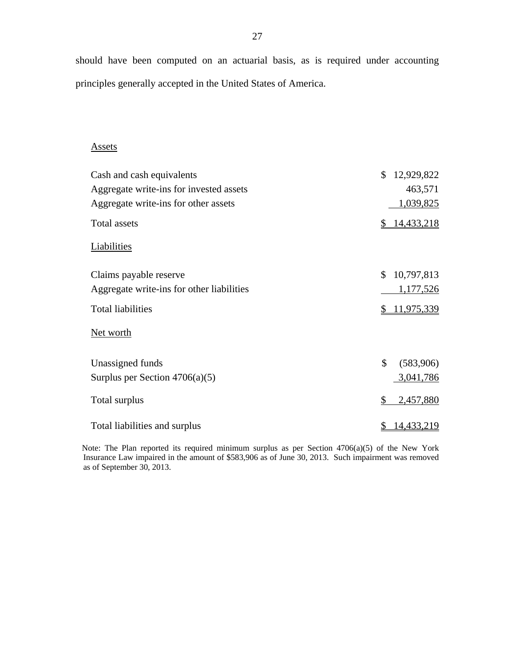should have been computed on an actuarial basis, as is required under accounting principles generally accepted in the United States of America.

#### **Assets**

| Cash and cash equivalents                 | \$<br>12,929,822  |
|-------------------------------------------|-------------------|
| Aggregate write-ins for invested assets   | 463,571           |
| Aggregate write-ins for other assets      | 1,039,825         |
| Total assets                              | 14,433,218<br>\$  |
| Liabilities                               |                   |
| Claims payable reserve                    | \$<br>10,797,813  |
| Aggregate write-ins for other liabilities | 1,177,526         |
| <b>Total liabilities</b>                  | 11,975,339<br>\$. |
| Net worth                                 |                   |
| Unassigned funds                          | \$<br>(583,906)   |
| Surplus per Section $4706(a)(5)$          | 3,041,786         |
| Total surplus                             | \$<br>2,457,880   |
| Total liabilities and surplus             | <u>14,433,219</u> |

Note: The Plan reported its required minimum surplus as per Section 4706(a)(5) of the New York Insurance Law impaired in the amount of \$583,906 as of June 30, 2013. Such impairment was removed as of September 30, 2013.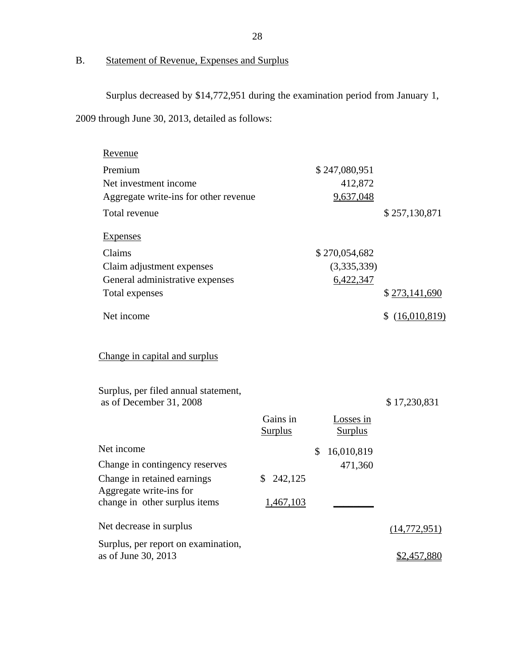B. Statement of Revenue, Expenses and Surplus

Surplus decreased by \$14,772,951 during the examination period from January 1,

2009 through June 30, 2013, detailed as follows:

| Revenue                                                                                          |                            |              |                             |                    |
|--------------------------------------------------------------------------------------------------|----------------------------|--------------|-----------------------------|--------------------|
| Premium                                                                                          |                            |              | \$247,080,951               |                    |
| Net investment income                                                                            |                            |              | 412,872                     |                    |
| Aggregate write-ins for other revenue                                                            |                            |              | 9,637,048                   |                    |
| Total revenue                                                                                    |                            |              |                             | \$257,130,871      |
| <b>Expenses</b>                                                                                  |                            |              |                             |                    |
| Claims                                                                                           |                            |              | \$270,054,682               |                    |
| Claim adjustment expenses                                                                        |                            |              | (3,335,339)                 |                    |
| General administrative expenses                                                                  |                            |              | 6,422,347                   |                    |
| Total expenses                                                                                   |                            |              |                             | \$273,141,690      |
| Net income                                                                                       |                            |              |                             | \$<br>(16,010,819) |
| Change in capital and surplus<br>Surplus, per filed annual statement,<br>as of December 31, 2008 |                            |              |                             | \$17,230,831       |
|                                                                                                  | Gains in<br><b>Surplus</b> |              | Losses in<br><b>Surplus</b> |                    |
| Net income                                                                                       |                            | $\mathbb{S}$ | 16,010,819                  |                    |
| Change in contingency reserves                                                                   |                            |              | 471,360                     |                    |
| Change in retained earnings                                                                      | 242,125<br>\$              |              |                             |                    |
| Aggregate write-ins for<br>change in other surplus items                                         | 1,467,103                  |              |                             |                    |
|                                                                                                  |                            |              |                             |                    |
| Net decrease in surplus                                                                          |                            |              |                             | (14, 772, 951)     |
| Surplus, per report on examination,<br>as of June 30, 2013                                       |                            |              |                             | \$2,457,880        |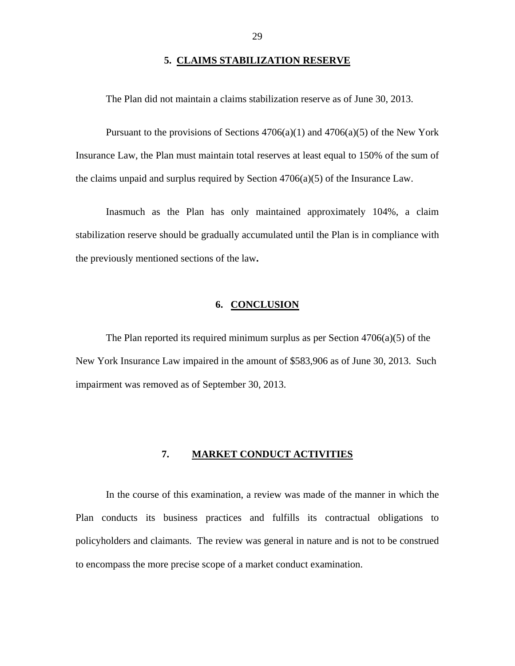#### **5. CLAIMS STABILIZATION RESERVE**

<span id="page-30-0"></span>The Plan did not maintain a claims stabilization reserve as of June 30, 2013.

Pursuant to the provisions of Sections  $4706(a)(1)$  and  $4706(a)(5)$  of the New York Insurance Law, the Plan must maintain total reserves at least equal to 150% of the sum of the claims unpaid and surplus required by Section  $4706(a)(5)$  of the Insurance Law.

Inasmuch as the Plan has only maintained approximately 104%, a claim stabilization reserve should be gradually accumulated until the Plan is in compliance with the previously mentioned sections of the law**.** 

#### **6. CONCLUSION**

The Plan reported its required minimum surplus as per Section 4706(a)(5) of the New York Insurance Law impaired in the amount of \$583,906 as of June 30, 2013. Such impairment was removed as of September 30, 2013.

#### **7. MARKET CONDUCT ACTIVITIES**

In the course of this examination, a review was made of the manner in which the Plan conducts its business practices and fulfills its contractual obligations to policyholders and claimants. The review was general in nature and is not to be construed to encompass the more precise scope of a market conduct examination.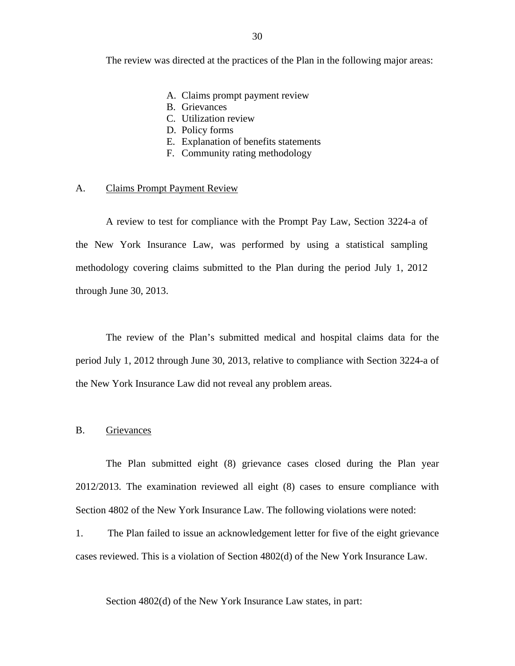<span id="page-31-0"></span>The review was directed at the practices of the Plan in the following major areas:

- A. Claims prompt payment review
- B. Grievances
- C. Utilization review
- D. Policy forms
- E. Explanation of benefits statements
- F. Community rating methodology

#### A. Claims Prompt Payment Review

A review to test for compliance with the Prompt Pay Law, Section 3224-a of the New York Insurance Law, was performed by using a statistical sampling methodology covering claims submitted to the Plan during the period July 1, 2012 through June 30, 2013.

The review of the Plan's submitted medical and hospital claims data for the period July 1, 2012 through June 30, 2013, relative to compliance with Section 3224-a of the New York Insurance Law did not reveal any problem areas.

### B. Grievances

The Plan submitted eight (8) grievance cases closed during the Plan year 2012/2013. The examination reviewed all eight (8) cases to ensure compliance with Section 4802 of the New York Insurance Law. The following violations were noted:

1. The Plan failed to issue an acknowledgement letter for five of the eight grievance cases reviewed. This is a violation of Section 4802(d) of the New York Insurance Law.

Section 4802(d) of the New York Insurance Law states, in part: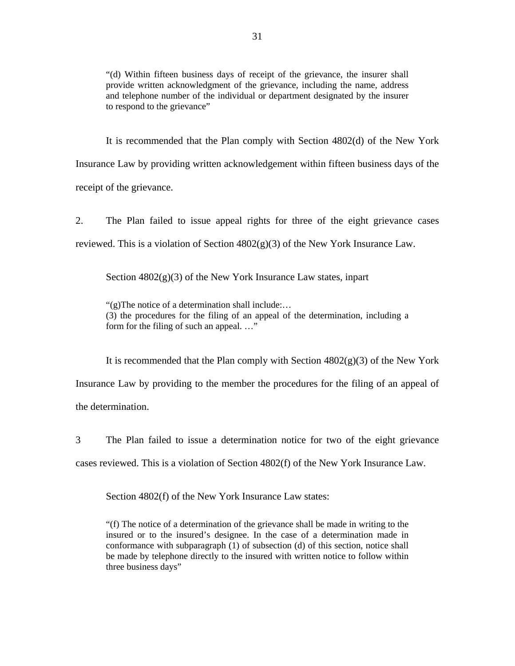"(d) Within fifteen business days of receipt of the grievance, the insurer shall provide written acknowledgment of the grievance, including the name, address and telephone number of the individual or department designated by the insurer to respond to the grievance"

It is recommended that the Plan comply with Section 4802(d) of the New York Insurance Law by providing written acknowledgement within fifteen business days of the receipt of the grievance.

2. The Plan failed to issue appeal rights for three of the eight grievance cases reviewed. This is a violation of Section  $4802(g)(3)$  of the New York Insurance Law.

Section  $4802(g)(3)$  of the New York Insurance Law states, inpart

"(g)The notice of a determination shall include:… (3) the procedures for the filing of an appeal of the determination, including a form for the filing of such an appeal. …"

It is recommended that the Plan comply with Section  $4802(g)(3)$  of the New York Insurance Law by providing to the member the procedures for the filing of an appeal of the determination.

3 The Plan failed to issue a determination notice for two of the eight grievance cases reviewed. This is a violation of Section 4802(f) of the New York Insurance Law.

Section 4802(f) of the New York Insurance Law states:

 three business days" "(f) The notice of a determination of the grievance shall be made in writing to the insured or to the insured's designee. In the case of a determination made in conformance with subparagraph (1) of subsection (d) of this section, notice shall be made by telephone directly to the insured with written notice to follow within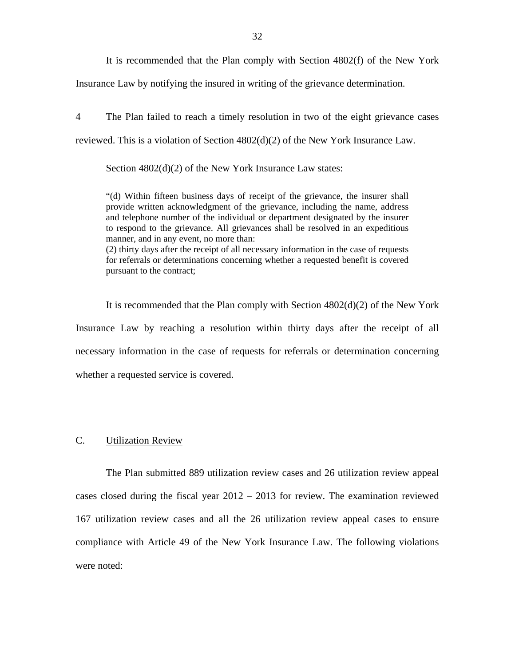It is recommended that the Plan comply with Section 4802(f) of the New York

<span id="page-33-0"></span>Insurance Law by notifying the insured in writing of the grievance determination.

4 The Plan failed to reach a timely resolution in two of the eight grievance cases reviewed. This is a violation of Section 4802(d)(2) of the New York Insurance Law.

Section  $4802(d)(2)$  of the New York Insurance Law states:

"(d) Within fifteen business days of receipt of the grievance, the insurer shall provide written acknowledgment of the grievance, including the name, address and telephone number of the individual or department designated by the insurer to respond to the grievance. All grievances shall be resolved in an expeditious manner, and in any event, no more than:

(2) thirty days after the receipt of all necessary information in the case of requests for referrals or determinations concerning whether a requested benefit is covered pursuant to the contract;

It is recommended that the Plan comply with Section  $4802(d)(2)$  of the New York Insurance Law by reaching a resolution within thirty days after the receipt of all necessary information in the case of requests for referrals or determination concerning whether a requested service is covered.

### C. Utilization Review

The Plan submitted 889 utilization review cases and 26 utilization review appeal cases closed during the fiscal year 2012 – 2013 for review. The examination reviewed 167 utilization review cases and all the 26 utilization review appeal cases to ensure compliance with Article 49 of the New York Insurance Law. The following violations were noted: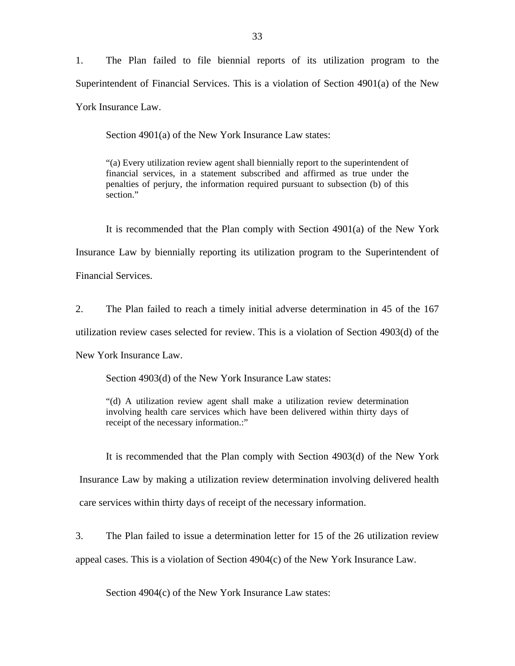1. The Plan failed to file biennial reports of its utilization program to the Superintendent of Financial Services. This is a violation of Section 4901(a) of the New York Insurance Law.

Section 4901(a) of the New York Insurance Law states:

"(a) Every utilization review agent shall biennially report to the superintendent of financial services, in a statement subscribed and affirmed as true under the penalties of perjury, the information required pursuant to subsection (b) of this section."

It is recommended that the Plan comply with Section 4901(a) of the New York Insurance Law by biennially reporting its utilization program to the Superintendent of Financial Services.

2. The Plan failed to reach a timely initial adverse determination in 45 of the 167 utilization review cases selected for review. This is a violation of Section 4903(d) of the New York Insurance Law.

Section 4903(d) of the New York Insurance Law states:

"(d) A utilization review agent shall make a utilization review determination involving health care services which have been delivered within thirty days of receipt of the necessary information.:"

It is recommended that the Plan comply with Section 4903(d) of the New York Insurance Law by making a utilization review determination involving delivered health care services within thirty days of receipt of the necessary information.

3. The Plan failed to issue a determination letter for 15 of the 26 utilization review appeal cases. This is a violation of Section 4904(c) of the New York Insurance Law.

Section 4904(c) of the New York Insurance Law states: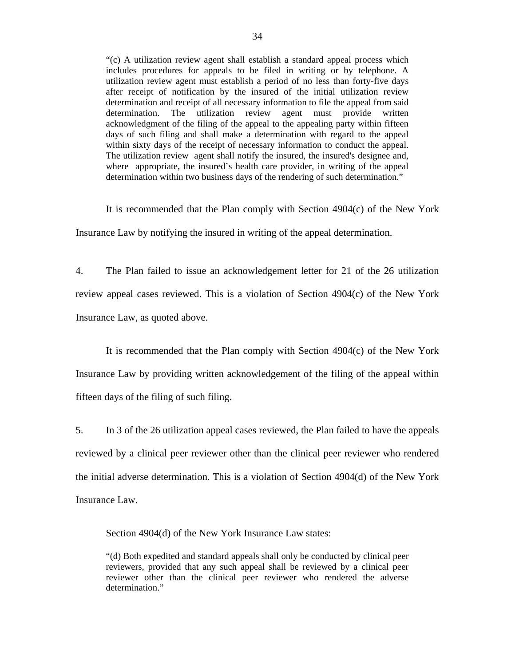"(c) A utilization review agent shall establish a standard appeal process which includes procedures for appeals to be filed in writing or by telephone. A utilization review agent must establish a period of no less than forty-five days after receipt of notification by the insured of the initial utilization review determination and receipt of all necessary information to file the appeal from said determination. The utilization review agent must provide written acknowledgment of the filing of the appeal to the appealing party within fifteen days of such filing and shall make a determination with regard to the appeal within sixty days of the receipt of necessary information to conduct the appeal. The utilization review agent shall notify the insured, the insured's designee and, where appropriate, the insured's health care provider, in writing of the appeal determination within two business days of the rendering of such determination."

 Insurance Law by notifying the insured in writing of the appeal determination. It is recommended that the Plan comply with Section 4904(c) of the New York

4. The Plan failed to issue an acknowledgement letter for 21 of the 26 utilization review appeal cases reviewed. This is a violation of Section 4904(c) of the New York Insurance Law, as quoted above.

It is recommended that the Plan comply with Section 4904(c) of the New York Insurance Law by providing written acknowledgement of the filing of the appeal within fifteen days of the filing of such filing.

5. In 3 of the 26 utilization appeal cases reviewed, the Plan failed to have the appeals reviewed by a clinical peer reviewer other than the clinical peer reviewer who rendered the initial adverse determination. This is a violation of Section 4904(d) of the New York Insurance Law.

Section 4904(d) of the New York Insurance Law states:

"(d) Both expedited and standard appeals shall only be conducted by clinical peer reviewers, provided that any such appeal shall be reviewed by a clinical peer reviewer other than the clinical peer reviewer who rendered the adverse determination."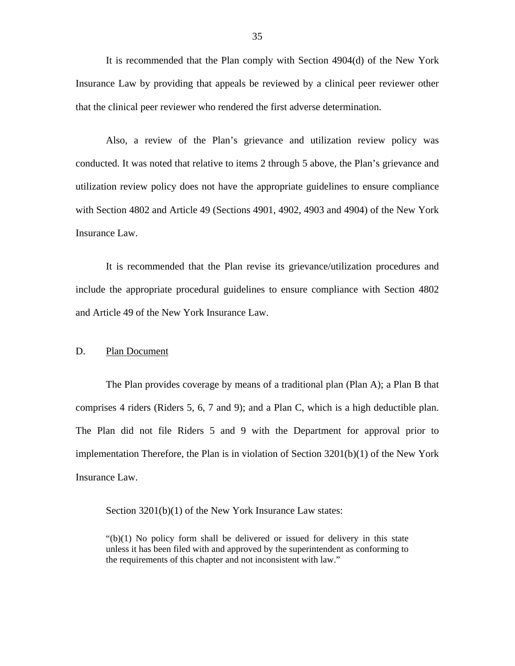<span id="page-36-0"></span>It is recommended that the Plan comply with Section 4904(d) of the New York Insurance Law by providing that appeals be reviewed by a clinical peer reviewer other that the clinical peer reviewer who rendered the first adverse determination.

Also, a review of the Plan's grievance and utilization review policy was conducted. It was noted that relative to items 2 through 5 above, the Plan's grievance and utilization review policy does not have the appropriate guidelines to ensure compliance with Section 4802 and Article 49 (Sections 4901, 4902, 4903 and 4904) of the New York Insurance Law.

It is recommended that the Plan revise its grievance/utilization procedures and include the appropriate procedural guidelines to ensure compliance with Section 4802 and Article 49 of the New York Insurance Law.

#### D. Plan Document

The Plan provides coverage by means of a traditional plan (Plan A); a Plan B that comprises 4 riders (Riders 5, 6, 7 and 9); and a Plan C, which is a high deductible plan. The Plan did not file Riders 5 and 9 with the Department for approval prior to implementation Therefore, the Plan is in violation of Section 3201(b)(1) of the New York Insurance Law.

Section 3201(b)(1) of the New York Insurance Law states:

 $"(b)(1)$  No policy form shall be delivered or issued for delivery in this state unless it has been filed with and approved by the superintendent as conforming to the requirements of this chapter and not inconsistent with law."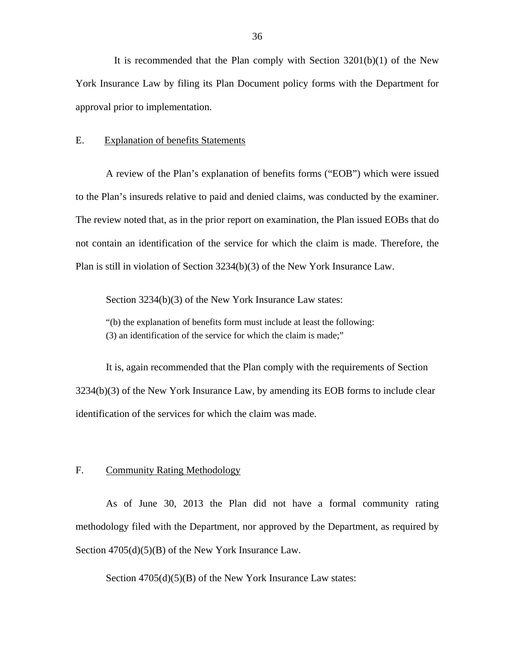<span id="page-37-0"></span>It is recommended that the Plan comply with Section 3201(b)(1) of the New York Insurance Law by filing its Plan Document policy forms with the Department for approval prior to implementation.

#### E. Explanation of benefits Statements

A review of the Plan's explanation of benefits forms ("EOB") which were issued to the Plan's insureds relative to paid and denied claims, was conducted by the examiner. The review noted that, as in the prior report on examination, the Plan issued EOBs that do not contain an identification of the service for which the claim is made. Therefore, the Plan is still in violation of Section 3234(b)(3) of the New York Insurance Law.

Section 3234(b)(3) of the New York Insurance Law states:

 (3) an identification of the service for which the claim is made;" "(b) the explanation of benefits form must include at least the following:

It is, again recommended that the Plan comply with the requirements of Section 3234(b)(3) of the New York Insurance Law, by amending its EOB forms to include clear identification of the services for which the claim was made.

#### F. Community Rating Methodology

As of June 30, 2013 the Plan did not have a formal community rating methodology filed with the Department, nor approved by the Department, as required by Section  $4705(d)(5)(B)$  of the New York Insurance Law.

Section  $4705(d)(5)(B)$  of the New York Insurance Law states: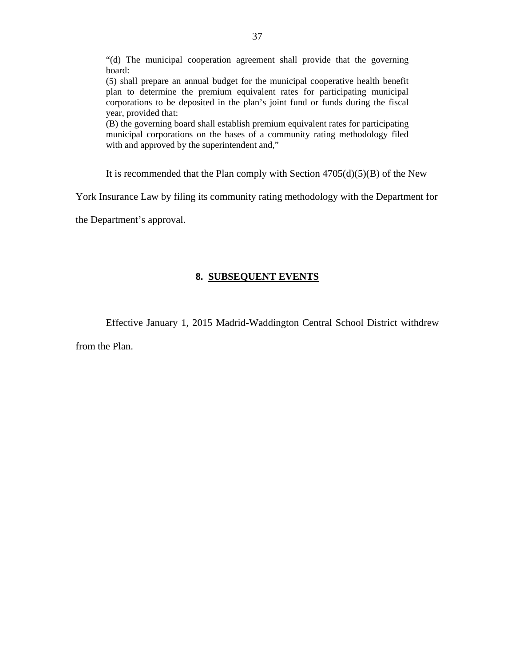"(d) The municipal cooperation agreement shall provide that the governing board:

(5) shall prepare an annual budget for the municipal cooperative health benefit plan to determine the premium equivalent rates for participating municipal corporations to be deposited in the plan's joint fund or funds during the fiscal year, provided that:

 municipal corporations on the bases of a community rating methodology filed with and approved by the superintendent and," (B) the governing board shall establish premium equivalent rates for participating

It is recommended that the Plan comply with Section  $4705(d)(5)(B)$  of the New

York Insurance Law by filing its community rating methodology with the Department for

the Department's approval.

### **8. SUBSEQUENT EVENTS**

Effective January 1, 2015 Madrid-Waddington Central School District withdrew

from the Plan.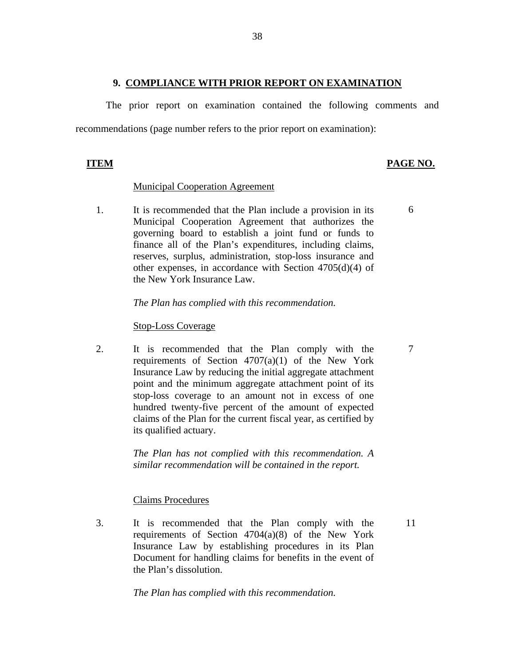#### **9. COMPLIANCE WITH PRIOR REPORT ON EXAMINATION**

The prior report on examination contained the following comments and recommendations (page number refers to the prior report on examination):

## **ITEM PAGE NO.**

6

7

### Municipal Cooperation Agreement

1. It is recommended that the Plan include a provision in its Municipal Cooperation Agreement that authorizes the governing board to establish a joint fund or funds to finance all of the Plan's expenditures, including claims, reserves, surplus, administration, stop-loss insurance and other expenses, in accordance with Section 4705(d)(4) of the New York Insurance Law.

#### *The Plan has complied with this recommendation.*

#### Stop-Loss Coverage

2. It is recommended that the Plan comply with the requirements of Section  $4707(a)(1)$  of the New York Insurance Law by reducing the initial aggregate attachment point and the minimum aggregate attachment point of its stop-loss coverage to an amount not in excess of one hundred twenty-five percent of the amount of expected claims of the Plan for the current fiscal year, as certified by its qualified actuary.

> *The Plan has not complied with this recommendation. A similar recommendation will be contained in the report.*

### Claims Procedures

3. It is recommended that the Plan comply with the 11 requirements of Section 4704(a)(8) of the New York Insurance Law by establishing procedures in its Plan Document for handling claims for benefits in the event of the Plan's dissolution.

*The Plan has complied with this recommendation.*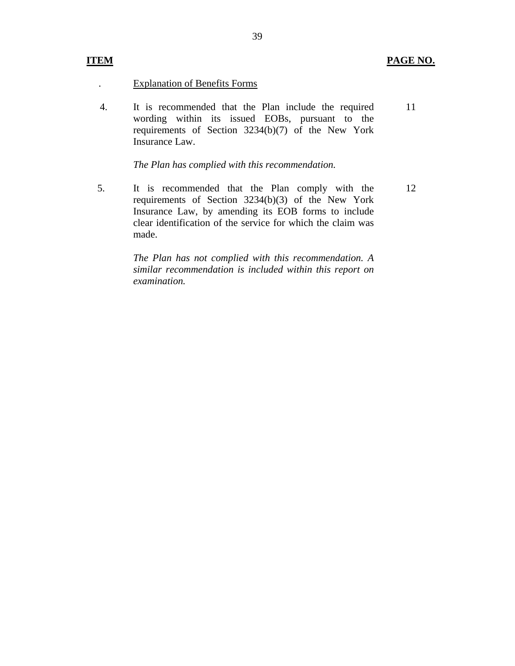### **ITEM PAGE NO.**

#### . Explanation of Benefits Forms

4. It is recommended that the Plan include the required wording within its issued EOBs, pursuant to the requirements of Section 3234(b)(7) of the New York Insurance Law. 11

*The Plan has complied with this recommendation.* 

made. 5. It is recommended that the Plan comply with the requirements of Section 3234(b)(3) of the New York Insurance Law, by amending its EOB forms to include clear identification of the service for which the claim was It is recommended that the Plan comply with the 12<br>requirements of Section 3234(b)(3) of the New York<br>Insurance Law, by amending its EOB forms to include<br>clear identification of the service for which the claim was<br>made.

> *The Plan has not complied with this recommendation. A similar recommendation is included within this report on examination.*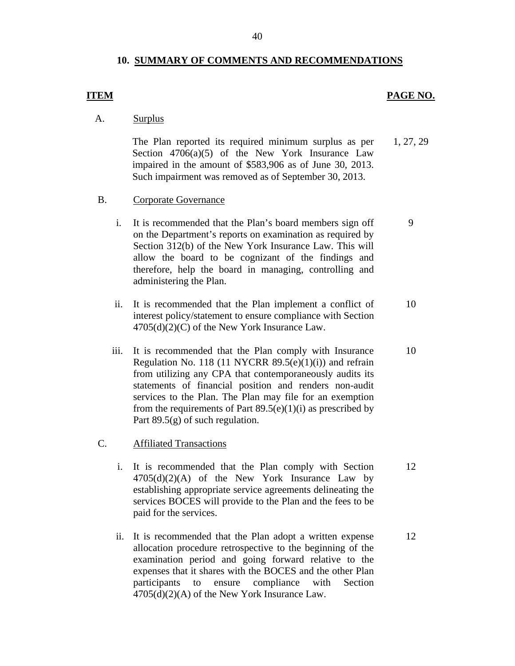#### **10. SUMMARY OF COMMENTS AND RECOMMENDATIONS**

#### **ITEM** PAGE NO.

9

A. Surplus

The Plan reported its required minimum surplus as per Section  $4706(a)(5)$  of the New York Insurance Law impaired in the amount of \$583,906 as of June 30, 2013. Such impairment was removed as of September 30, 2013. 1, 27, 29

- B. Corporate Governance
	- i. It is recommended that the Plan's board members sign off on the Department's reports on examination as required by Section 312(b) of the New York Insurance Law. This will allow the board to be cognizant of the findings and therefore, help the board in managing, controlling and administering the Plan.
	- ii. It is recommended that the Plan implement a conflict of interest policy/statement to ensure compliance with Section 4705(d)(2)(C) of the New York Insurance Law. 10
	- iii. It is recommended that the Plan comply with Insurance Regulation No. 118 (11 NYCRR  $89.5(e)(1)(i)$ ) and refrain from utilizing any CPA that contemporaneously audits its statements of financial position and renders non-audit services to the Plan. The Plan may file for an exemption from the requirements of Part  $89.5(e)(1)(i)$  as prescribed by Part 89.5(g) of such regulation. 10
- C. Affiliated Transactions
	- i. It is recommended that the Plan comply with Section  $4705(d)(2)(A)$  of the New York Insurance Law by establishing appropriate service agreements delineating the services BOCES will provide to the Plan and the fees to be paid for the services. 12
	- ii. It is recommended that the Plan adopt a written expense allocation procedure retrospective to the beginning of the examination period and going forward relative to the expenses that it shares with the BOCES and the other Plan participants to ensure compliance with Section 4705(d)(2)(A) of the New York Insurance Law. 12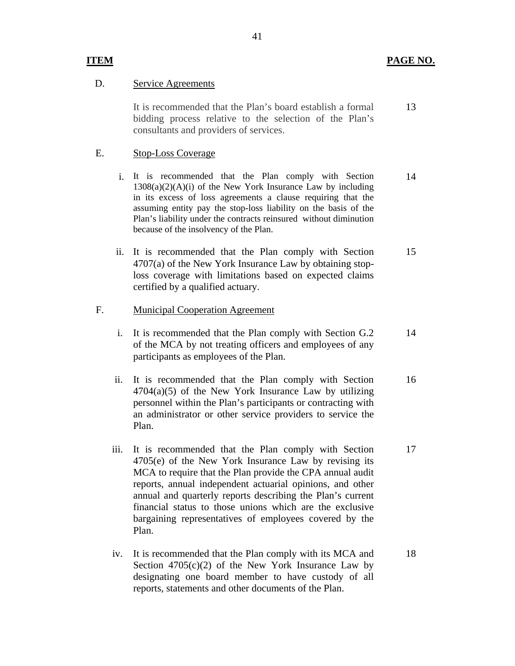#### D. Service Agreements

It is recommended that the Plan's board establish a formal bidding process relative to the selection of the Plan's consultants and providers of services. 13

### E. Stop-Loss Coverage

- i. It is recommended that the Plan comply with Section  $1308(a)(2)(A)(i)$  of the New York Insurance Law by including in its excess of loss agreements a clause requiring that the assuming entity pay the stop-loss liability on the basis of the Plan's liability under the contracts reinsured without diminution because of the insolvency of the Plan. 14
- ii. It is recommended that the Plan comply with Section 4707(a) of the New York Insurance Law by obtaining stoploss coverage with limitations based on expected claims certified by a qualified actuary. 15

#### F. Municipal Cooperation Agreement

- i. It is recommended that the Plan comply with Section G.2 of the MCA by not treating officers and employees of any participants as employees of the Plan. 14
- ii. It is recommended that the Plan comply with Section  $4704(a)(5)$  of the New York Insurance Law by utilizing personnel within the Plan's participants or contracting with an administrator or other service providers to service the Plan. 16
- iii. It is recommended that the Plan comply with Section 4705(e) of the New York Insurance Law by revising its MCA to require that the Plan provide the CPA annual audit reports, annual independent actuarial opinions, and other annual and quarterly reports describing the Plan's current financial status to those unions which are the exclusive bargaining representatives of employees covered by the Plan. 17
- reports, statements and other documents of the Plan. iv. It is recommended that the Plan comply with its MCA and Section  $4705(c)(2)$  of the New York Insurance Law by designating one board member to have custody of all It is recommended that the Plan comply with its MCA and<br>Section 4705(c)(2) of the New York Insurance Law by<br>designating one board member to have custody of all<br>reports, statements and other documents of the Plan.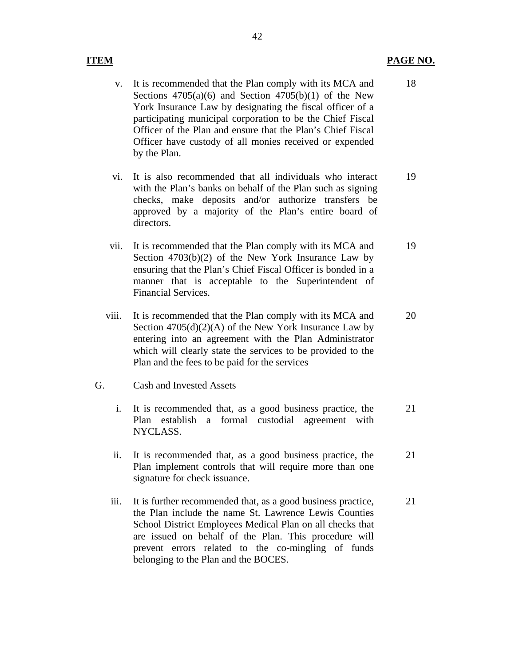### **ITEM PAGE NO.**

- v. It is recommended that the Plan comply with its MCA and Sections  $4705(a)(6)$  and Section  $4705(b)(1)$  of the New York Insurance Law by designating the fiscal officer of a participating municipal corporation to be the Chief Fiscal Officer of the Plan and ensure that the Plan's Chief Fiscal Officer have custody of all monies received or expended by the Plan.
- vi. It is also recommended that all individuals who interact with the Plan's banks on behalf of the Plan such as signing checks, make deposits and/or authorize transfers be approved by a majority of the Plan's entire board of directors. 19
- vii. It is recommended that the Plan comply with its MCA and Section 4703(b)(2) of the New York Insurance Law by ensuring that the Plan's Chief Fiscal Officer is bonded in a manner that is acceptable to the Superintendent of Financial Services. 19
- viii. It is recommended that the Plan comply with its MCA and Section  $4705(d)(2)(A)$  of the New York Insurance Law by entering into an agreement with the Plan Administrator which will clearly state the services to be provided to the Plan and the fees to be paid for the services 20

### G. Cash and Invested Assets

- i. It is recommended that, as a good business practice, the Plan establish a formal custodial agreement with NYCLASS. 21
- ii. It is recommended that, as a good business practice, the Plan implement controls that will require more than one signature for check issuance. 21
- iii. It is further recommended that, as a good business practice, the Plan include the name St. Lawrence Lewis Counties School District Employees Medical Plan on all checks that are issued on behalf of the Plan. This procedure will prevent errors related to the co-mingling of funds belonging to the Plan and the BOCES. 21

18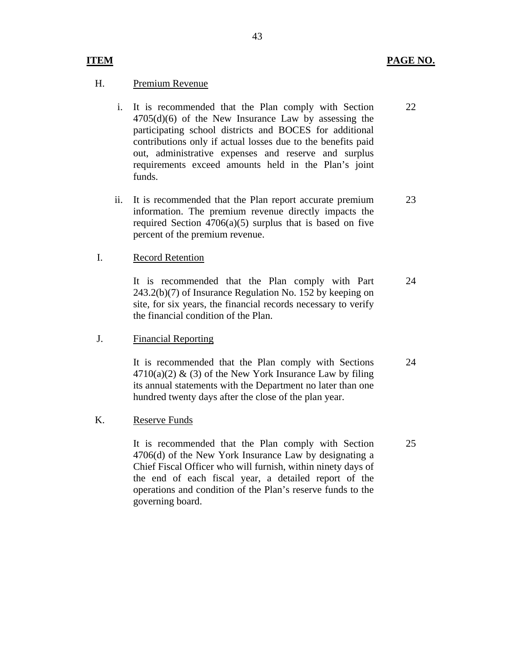### H. Premium Revenue

- i. It is recommended that the Plan comply with Section 4705(d)(6) of the New Insurance Law by assessing the participating school districts and BOCES for additional contributions only if actual losses due to the benefits paid out, administrative expenses and reserve and surplus requirements exceed amounts held in the Plan's joint funds. 22
- ii. It is recommended that the Plan report accurate premium information. The premium revenue directly impacts the required Section  $4706(a)(5)$  surplus that is based on five percent of the premium revenue. 23

#### I. Record Retention

It is recommended that the Plan comply with Part 243.2(b)(7) of Insurance Regulation No. 152 by keeping on site, for six years, the financial records necessary to verify the financial condition of the Plan. 24

#### J. Financial Reporting

It is recommended that the Plan comply with Sections  $4710(a)(2)$  & (3) of the New York Insurance Law by filing its annual statements with the Department no later than one hundred twenty days after the close of the plan year. 24

#### K. Reserve Funds

It is recommended that the Plan comply with Section 4706(d) of the New York Insurance Law by designating a Chief Fiscal Officer who will furnish, within ninety days of the end of each fiscal year, a detailed report of the operations and condition of the Plan's reserve funds to the governing board. 25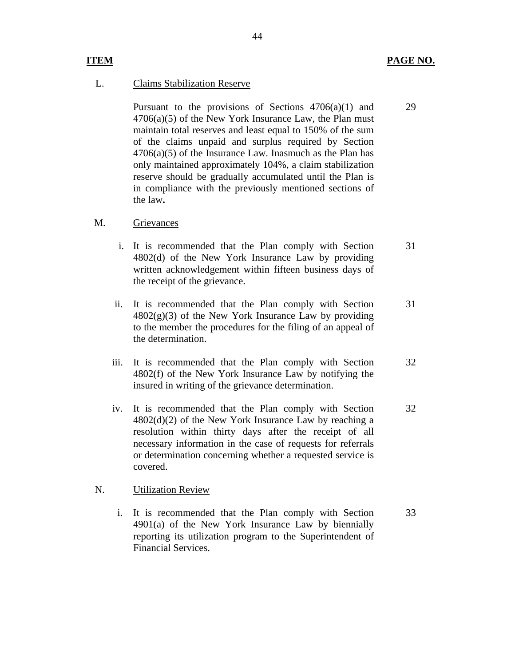29

#### L. Claims Stabilization Reserve

Pursuant to the provisions of Sections  $4706(a)(1)$  and  $4706(a)(5)$  of the New York Insurance Law, the Plan must maintain total reserves and least equal to 150% of the sum of the claims unpaid and surplus required by Section  $4706(a)(5)$  of the Insurance Law. Inasmuch as the Plan has only maintained approximately 104%, a claim stabilization reserve should be gradually accumulated until the Plan is in compliance with the previously mentioned sections of the law**.** 

#### M. Grievances

- i. It is recommended that the Plan comply with Section 4802(d) of the New York Insurance Law by providing written acknowledgement within fifteen business days of the receipt of the grievance. 31
- ii. It is recommended that the Plan comply with Section  $4802(g)(3)$  of the New York Insurance Law by providing to the member the procedures for the filing of an appeal of the determination. 31
- iii. It is recommended that the Plan comply with Section 4802(f) of the New York Insurance Law by notifying the insured in writing of the grievance determination. 32
- iv. It is recommended that the Plan comply with Section  $4802(d)(2)$  of the New York Insurance Law by reaching a resolution within thirty days after the receipt of all necessary information in the case of requests for referrals or determination concerning whether a requested service is covered. 32

#### N. Utilization Review

i. It is recommended that the Plan comply with Section  $4901(a)$  of the New York Insurance Law by biennially reporting its utilization program to the Superintendent of Financial Services. 33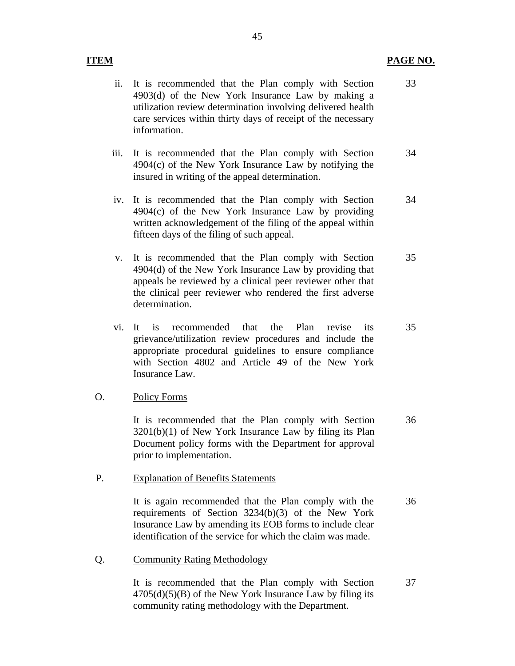### **ITEM PAGE NO.**

33

- ii. It is recommended that the Plan comply with Section 4903(d) of the New York Insurance Law by making a utilization review determination involving delivered health care services within thirty days of receipt of the necessary information.
- iii. It is recommended that the Plan comply with Section 4904(c) of the New York Insurance Law by notifying the insured in writing of the appeal determination. 34
- iv. It is recommended that the Plan comply with Section  $4904(c)$  of the New York Insurance Law by providing written acknowledgement of the filing of the appeal within fifteen days of the filing of such appeal. 34
- v. It is recommended that the Plan comply with Section 4904(d) of the New York Insurance Law by providing that appeals be reviewed by a clinical peer reviewer other that the clinical peer reviewer who rendered the first adverse determination. 35
- vi. It is recommended that the Plan revise its grievance/utilization review procedures and include the appropriate procedural guidelines to ensure compliance with Section 4802 and Article 49 of the New York Insurance Law. 35

### O. Policy Forms

It is recommended that the Plan comply with Section 3201(b)(1) of New York Insurance Law by filing its Plan Document policy forms with the Department for approval prior to implementation. 36

#### P. Explanation of Benefits Statements

It is again recommended that the Plan comply with the requirements of Section 3234(b)(3) of the New York Insurance Law by amending its EOB forms to include clear identification of the service for which the claim was made. 36

Q. Community Rating Methodology

It is recommended that the Plan comply with Section  $4705(d)(5)(B)$  of the New York Insurance Law by filing its community rating methodology with the Department. 37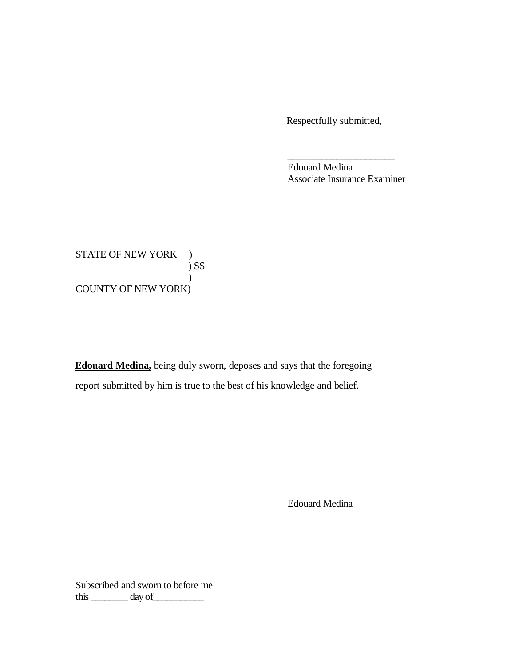Respectfully submitted,

 Edouard Medina Associate Insurance Examiner

\_\_\_\_\_\_\_\_\_\_\_\_\_\_\_\_\_\_\_\_\_\_

STATE OF NEW YORK ) COUNTY OF NEW YORK) ) SS  $\mathcal{L}$ 

 **Edouard Medina,** being duly sworn, deposes and says that the foregoing report submitted by him is true to the best of his knowledge and belief.

Edouard Medina

\_\_\_\_\_\_\_\_\_\_\_\_\_\_\_\_\_\_\_\_\_\_\_\_\_

 Subscribed and sworn to before me this  $\_\_\_\_\_\_\$  day of